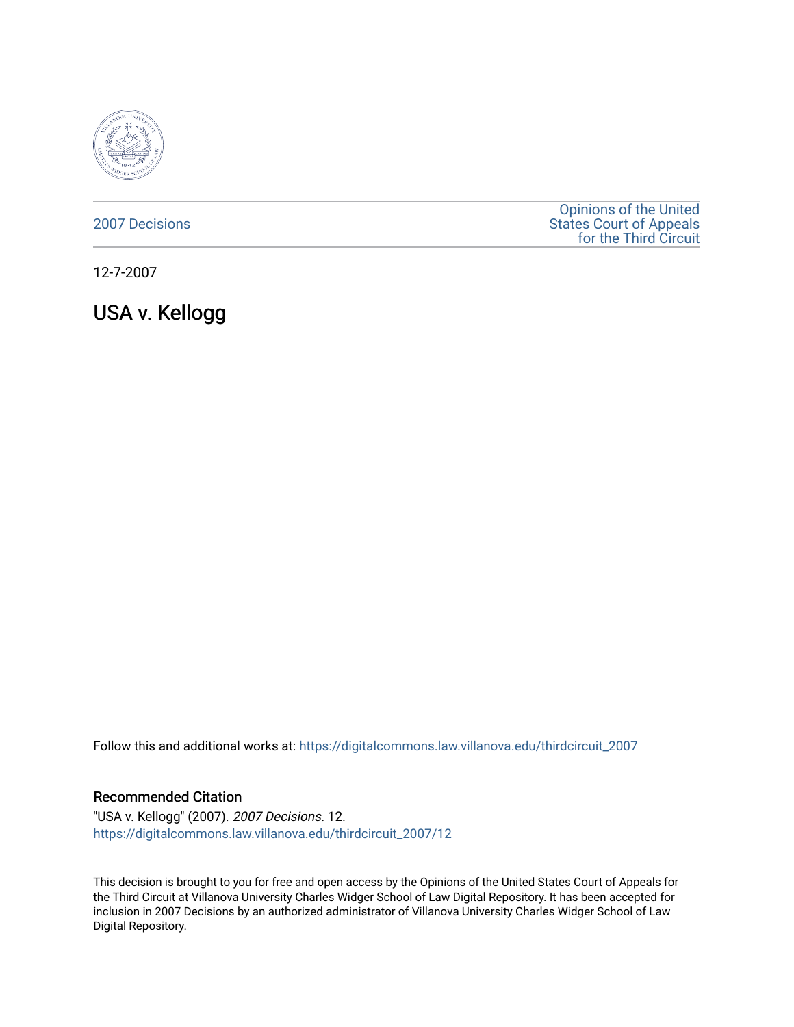

### [2007 Decisions](https://digitalcommons.law.villanova.edu/thirdcircuit_2007)

[Opinions of the United](https://digitalcommons.law.villanova.edu/thirdcircuit)  [States Court of Appeals](https://digitalcommons.law.villanova.edu/thirdcircuit)  [for the Third Circuit](https://digitalcommons.law.villanova.edu/thirdcircuit) 

12-7-2007

USA v. Kellogg

Follow this and additional works at: [https://digitalcommons.law.villanova.edu/thirdcircuit\\_2007](https://digitalcommons.law.villanova.edu/thirdcircuit_2007?utm_source=digitalcommons.law.villanova.edu%2Fthirdcircuit_2007%2F12&utm_medium=PDF&utm_campaign=PDFCoverPages) 

#### Recommended Citation

"USA v. Kellogg" (2007). 2007 Decisions. 12. [https://digitalcommons.law.villanova.edu/thirdcircuit\\_2007/12](https://digitalcommons.law.villanova.edu/thirdcircuit_2007/12?utm_source=digitalcommons.law.villanova.edu%2Fthirdcircuit_2007%2F12&utm_medium=PDF&utm_campaign=PDFCoverPages)

This decision is brought to you for free and open access by the Opinions of the United States Court of Appeals for the Third Circuit at Villanova University Charles Widger School of Law Digital Repository. It has been accepted for inclusion in 2007 Decisions by an authorized administrator of Villanova University Charles Widger School of Law Digital Repository.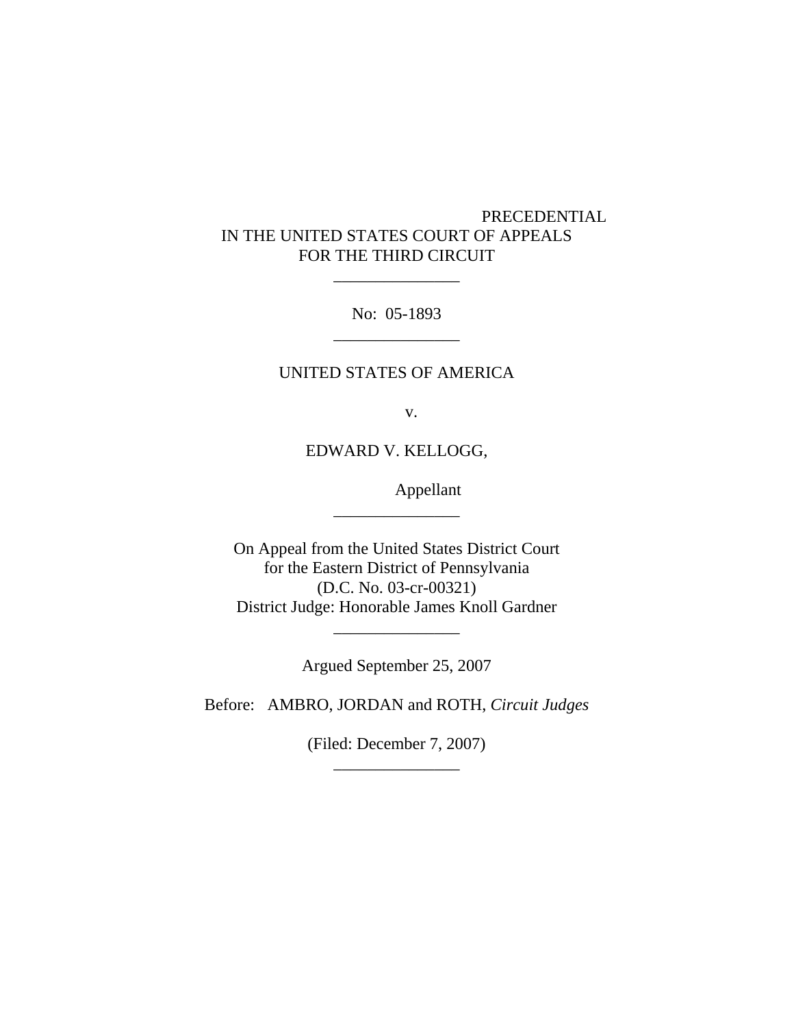# PRECEDENTIAL IN THE UNITED STATES COURT OF APPEALS FOR THE THIRD CIRCUIT

No: 05-1893 \_\_\_\_\_\_\_\_\_\_\_\_\_\_\_

\_\_\_\_\_\_\_\_\_\_\_\_\_\_\_

## UNITED STATES OF AMERICA

v.

EDWARD V. KELLOGG,

\_\_\_\_\_\_\_\_\_\_\_\_\_\_\_

Appellant

On Appeal from the United States District Court for the Eastern District of Pennsylvania (D.C. No. 03-cr-00321) District Judge: Honorable James Knoll Gardner

Argued September 25, 2007

\_\_\_\_\_\_\_\_\_\_\_\_\_\_\_

Before: AMBRO, JORDAN and ROTH, *Circuit Judges*

(Filed: December 7, 2007) \_\_\_\_\_\_\_\_\_\_\_\_\_\_\_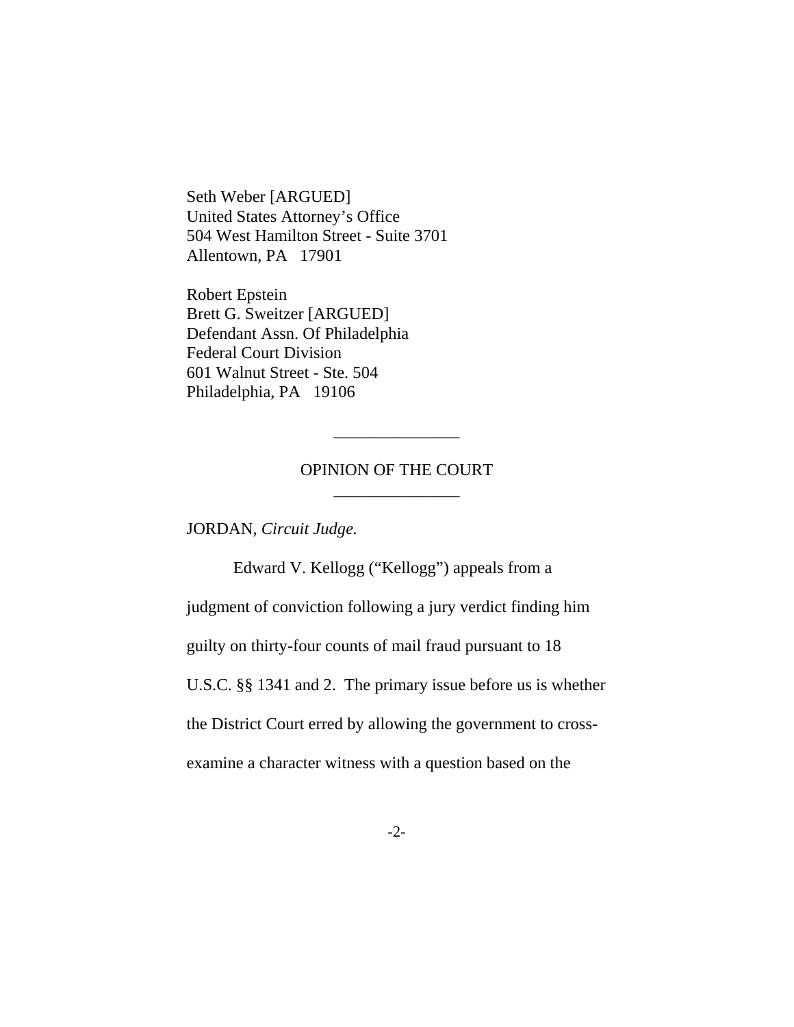Seth Weber [ARGUED] United States Attorney's Office 504 West Hamilton Street - Suite 3701 Allentown, PA 17901

Robert Epstein Brett G. Sweitzer [ARGUED] Defendant Assn. Of Philadelphia Federal Court Division 601 Walnut Street - Ste. 504 Philadelphia, PA 19106

## OPINION OF THE COURT \_\_\_\_\_\_\_\_\_\_\_\_\_\_\_

\_\_\_\_\_\_\_\_\_\_\_\_\_\_\_

JORDAN, *Circuit Judge.*

Edward V. Kellogg ("Kellogg") appeals from a judgment of conviction following a jury verdict finding him guilty on thirty-four counts of mail fraud pursuant to 18 U.S.C. §§ 1341 and 2. The primary issue before us is whether the District Court erred by allowing the government to crossexamine a character witness with a question based on the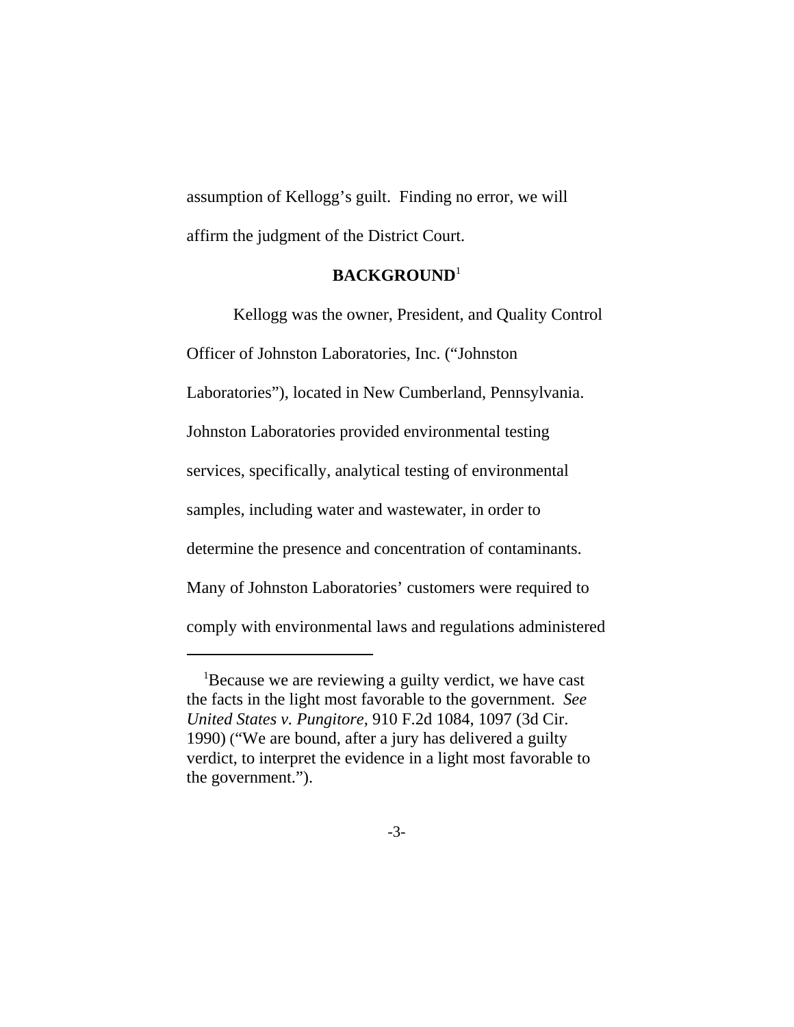assumption of Kellogg's guilt. Finding no error, we will affirm the judgment of the District Court.

### **BACKGROUND**<sup>1</sup>

Kellogg was the owner, President, and Quality Control Officer of Johnston Laboratories, Inc. ("Johnston Laboratories"), located in New Cumberland, Pennsylvania. Johnston Laboratories provided environmental testing services, specifically, analytical testing of environmental samples, including water and wastewater, in order to determine the presence and concentration of contaminants. Many of Johnston Laboratories' customers were required to comply with environmental laws and regulations administered

<sup>&</sup>lt;sup>1</sup>Because we are reviewing a guilty verdict, we have cast the facts in the light most favorable to the government. *See United States v. Pungitore*, 910 F.2d 1084, 1097 (3d Cir. 1990) ("We are bound, after a jury has delivered a guilty verdict, to interpret the evidence in a light most favorable to the government.").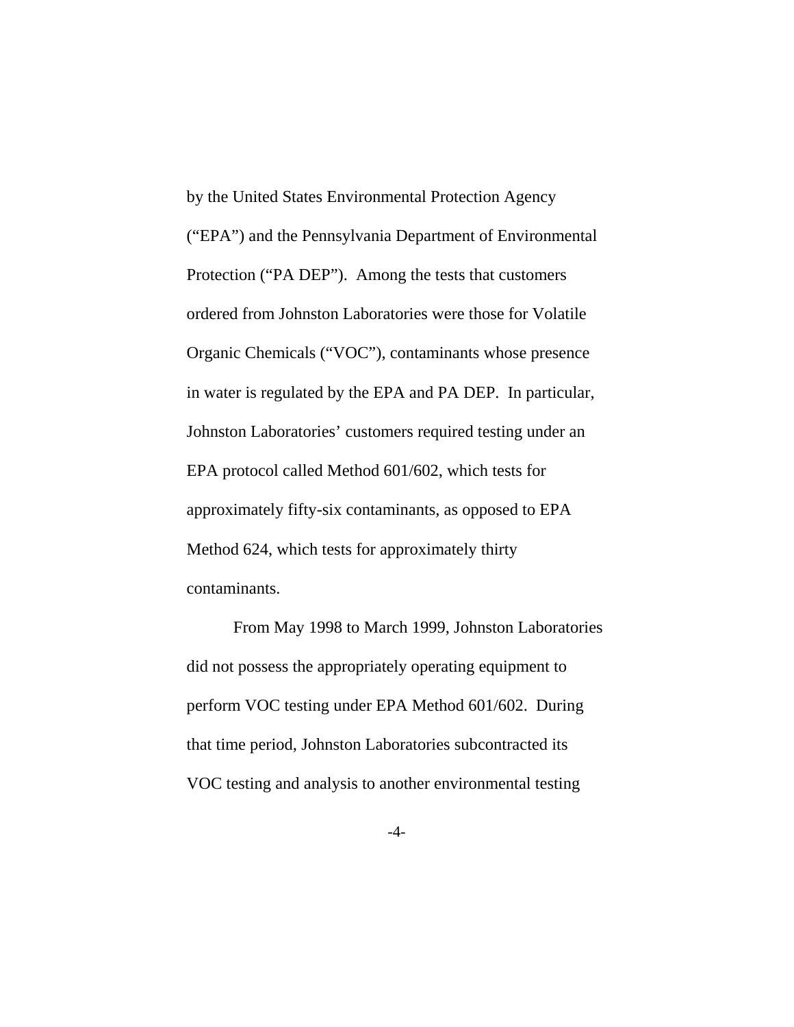by the United States Environmental Protection Agency ("EPA") and the Pennsylvania Department of Environmental Protection ("PA DEP"). Among the tests that customers ordered from Johnston Laboratories were those for Volatile Organic Chemicals ("VOC"), contaminants whose presence in water is regulated by the EPA and PA DEP. In particular, Johnston Laboratories' customers required testing under an EPA protocol called Method 601/602, which tests for approximately fifty-six contaminants, as opposed to EPA Method 624, which tests for approximately thirty contaminants.

From May 1998 to March 1999, Johnston Laboratories did not possess the appropriately operating equipment to perform VOC testing under EPA Method 601/602. During that time period, Johnston Laboratories subcontracted its VOC testing and analysis to another environmental testing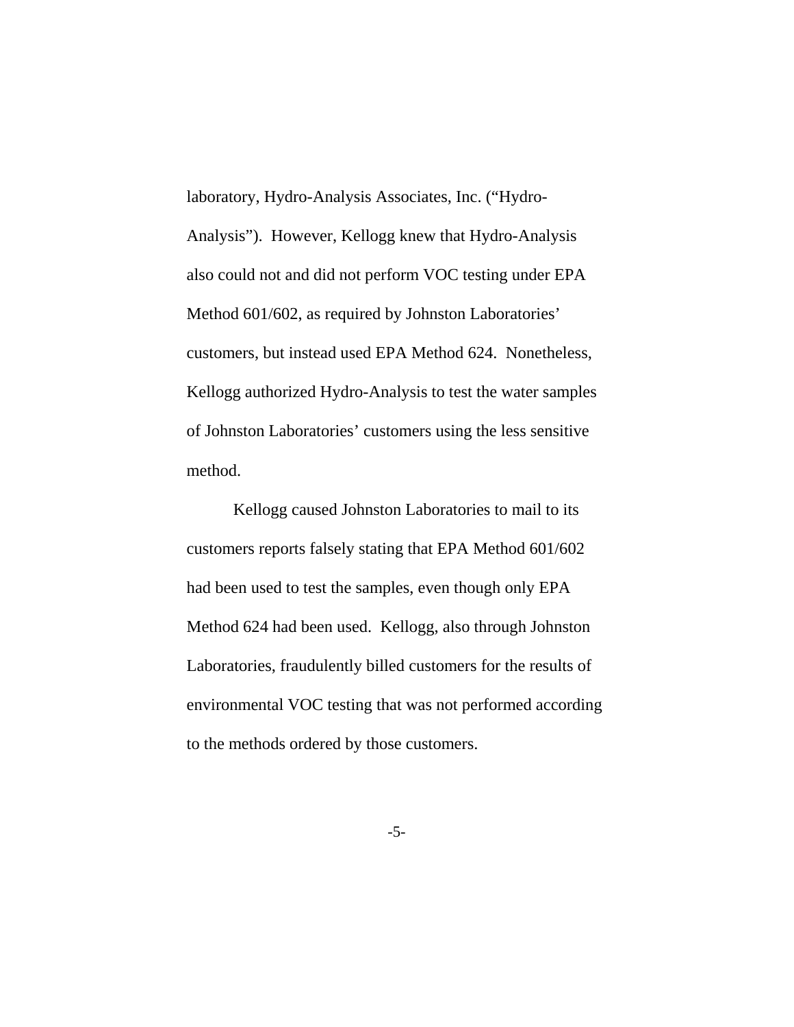laboratory, Hydro-Analysis Associates, Inc. ("Hydro-Analysis"). However, Kellogg knew that Hydro-Analysis also could not and did not perform VOC testing under EPA Method 601/602, as required by Johnston Laboratories' customers, but instead used EPA Method 624. Nonetheless, Kellogg authorized Hydro-Analysis to test the water samples of Johnston Laboratories' customers using the less sensitive method.

 Kellogg caused Johnston Laboratories to mail to its customers reports falsely stating that EPA Method 601/602 had been used to test the samples, even though only EPA Method 624 had been used. Kellogg, also through Johnston Laboratories, fraudulently billed customers for the results of environmental VOC testing that was not performed according to the methods ordered by those customers.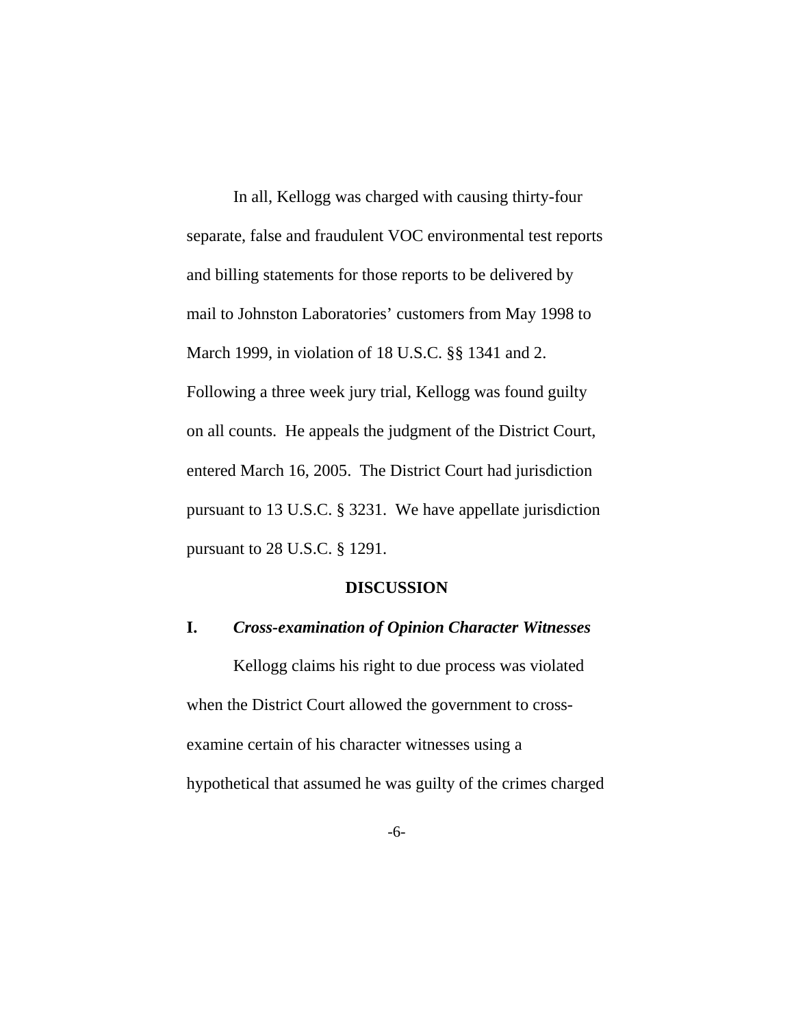In all, Kellogg was charged with causing thirty-four separate, false and fraudulent VOC environmental test reports and billing statements for those reports to be delivered by mail to Johnston Laboratories' customers from May 1998 to March 1999, in violation of 18 U.S.C. §§ 1341 and 2. Following a three week jury trial, Kellogg was found guilty on all counts. He appeals the judgment of the District Court, entered March 16, 2005. The District Court had jurisdiction pursuant to 13 U.S.C. § 3231. We have appellate jurisdiction pursuant to 28 U.S.C. § 1291.

#### **DISCUSSION**

### **I.** *Cross-examination of Opinion Character Witnesses*

Kellogg claims his right to due process was violated when the District Court allowed the government to crossexamine certain of his character witnesses using a hypothetical that assumed he was guilty of the crimes charged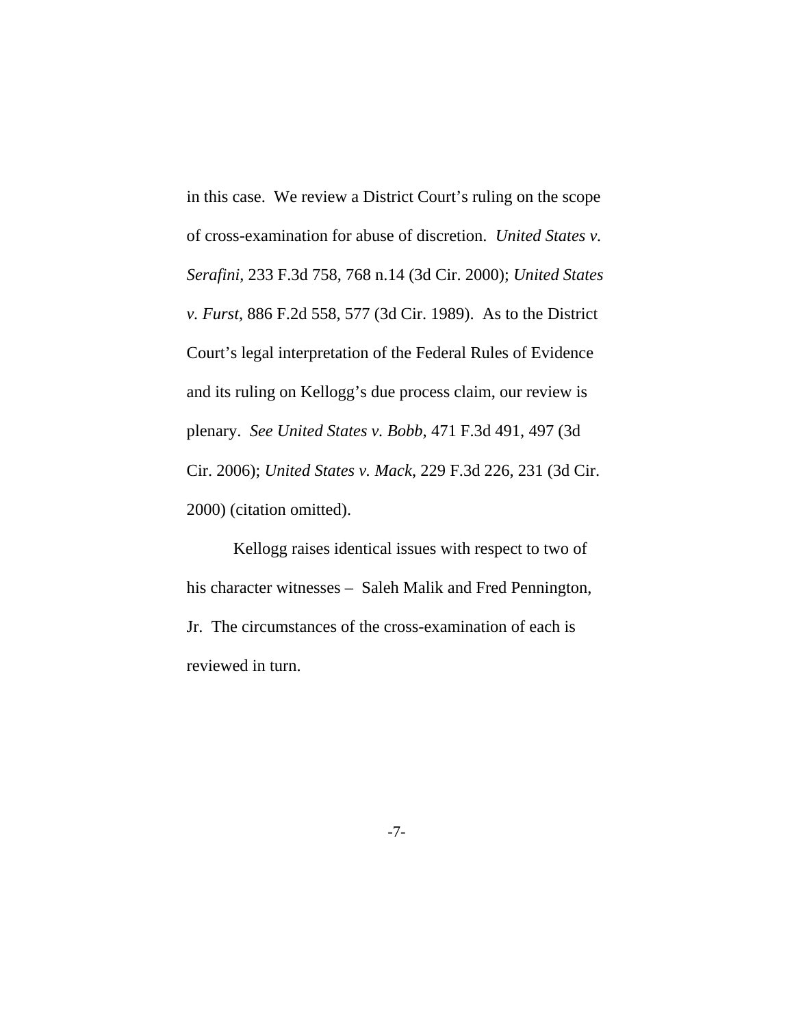in this case. We review a District Court's ruling on the scope of cross-examination for abuse of discretion. *United States v. Serafini*, 233 F.3d 758, 768 n.14 (3d Cir. 2000); *United States v. Furst*, 886 F.2d 558, 577 (3d Cir. 1989). As to the District Court's legal interpretation of the Federal Rules of Evidence and its ruling on Kellogg's due process claim, our review is plenary. *See United States v. Bobb*, 471 F.3d 491, 497 (3d Cir. 2006); *United States v. Mack*, 229 F.3d 226, 231 (3d Cir. 2000) (citation omitted).

Kellogg raises identical issues with respect to two of his character witnesses – Saleh Malik and Fred Pennington, Jr. The circumstances of the cross-examination of each is reviewed in turn.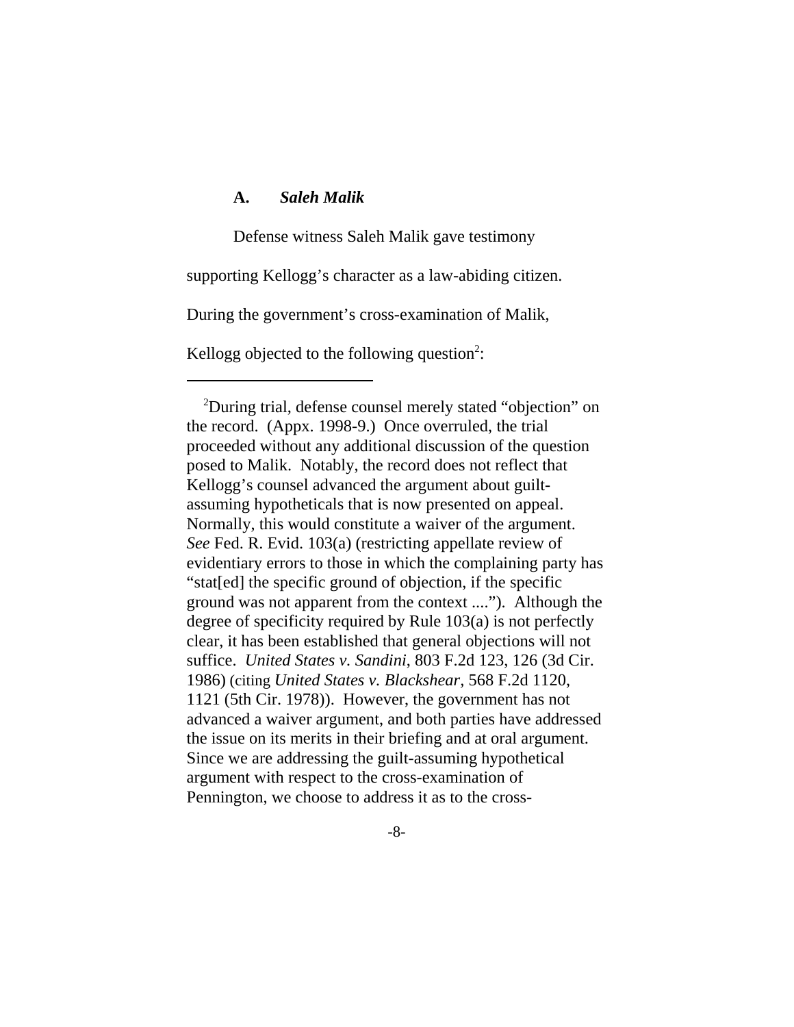## **A.** *Saleh Malik*

Defense witness Saleh Malik gave testimony

supporting Kellogg's character as a law-abiding citizen.

During the government's cross-examination of Malik,

Kellogg objected to the following question<sup>2</sup>:

 <sup>2</sup> During trial, defense counsel merely stated "objection" on the record. (Appx. 1998-9.) Once overruled, the trial proceeded without any additional discussion of the question posed to Malik. Notably, the record does not reflect that Kellogg's counsel advanced the argument about guiltassuming hypotheticals that is now presented on appeal. Normally, this would constitute a waiver of the argument. *See* Fed. R. Evid. 103(a) (restricting appellate review of evidentiary errors to those in which the complaining party has "stat[ed] the specific ground of objection, if the specific ground was not apparent from the context ...."). Although the degree of specificity required by Rule 103(a) is not perfectly clear, it has been established that general objections will not suffice. *United States v. Sandini*, 803 F.2d 123, 126 (3d Cir. 1986) (citing *United States v. Blackshear,* 568 F.2d 1120, 1121 (5th Cir. 1978)). However, the government has not advanced a waiver argument, and both parties have addressed the issue on its merits in their briefing and at oral argument. Since we are addressing the guilt-assuming hypothetical argument with respect to the cross-examination of Pennington, we choose to address it as to the cross-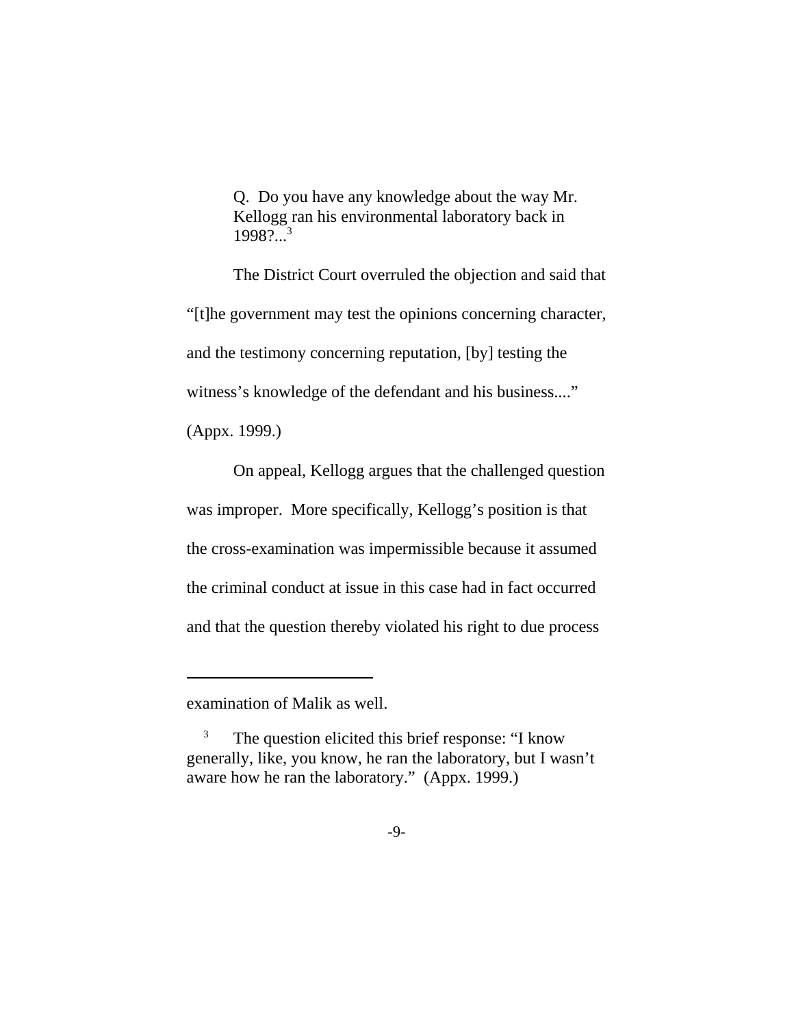Q. Do you have any knowledge about the way Mr. Kellogg ran his environmental laboratory back in  $1998$ ?...<sup>3</sup>

The District Court overruled the objection and said that "[t]he government may test the opinions concerning character, and the testimony concerning reputation, [by] testing the witness's knowledge of the defendant and his business...."

(Appx. 1999.)

On appeal, Kellogg argues that the challenged question was improper. More specifically, Kellogg's position is that the cross-examination was impermissible because it assumed the criminal conduct at issue in this case had in fact occurred and that the question thereby violated his right to due process

examination of Malik as well.

<sup>&</sup>lt;sup>3</sup> The question elicited this brief response: "I know generally, like, you know, he ran the laboratory, but I wasn't aware how he ran the laboratory." (Appx. 1999.)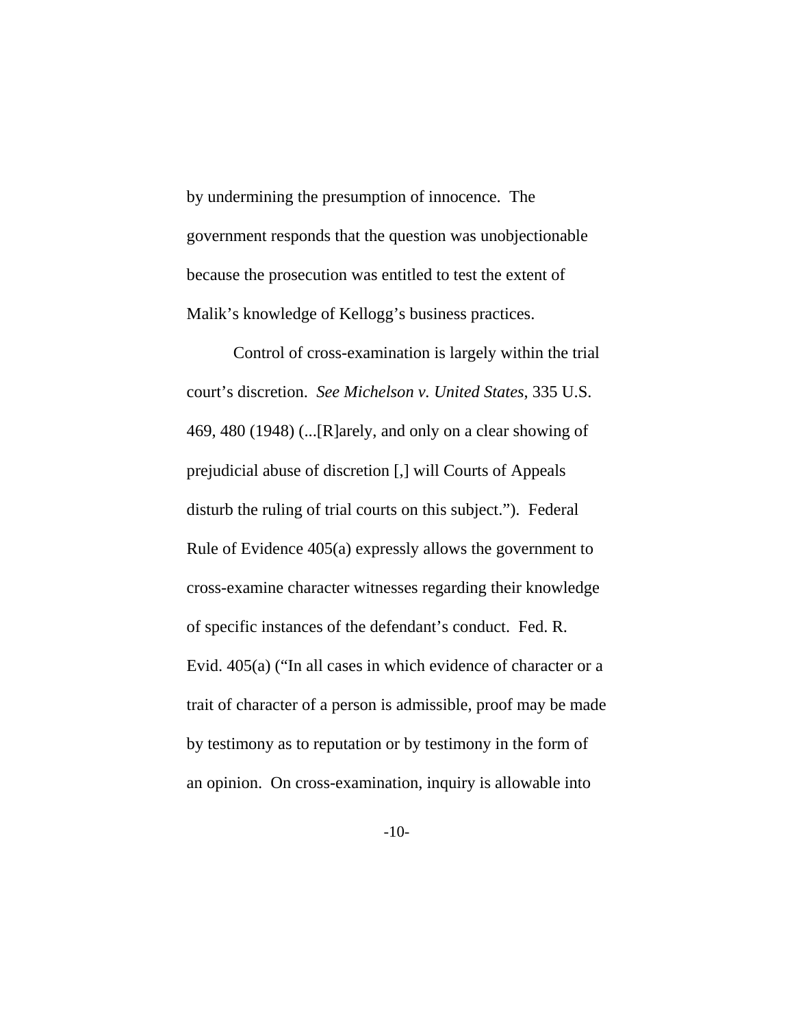by undermining the presumption of innocence. The government responds that the question was unobjectionable because the prosecution was entitled to test the extent of Malik's knowledge of Kellogg's business practices.

Control of cross-examination is largely within the trial court's discretion. *See Michelson v. United States*, 335 U.S. 469, 480 (1948) (...[R]arely, and only on a clear showing of prejudicial abuse of discretion [,] will Courts of Appeals disturb the ruling of trial courts on this subject."). Federal Rule of Evidence 405(a) expressly allows the government to cross-examine character witnesses regarding their knowledge of specific instances of the defendant's conduct. Fed. R. Evid. 405(a) ("In all cases in which evidence of character or a trait of character of a person is admissible, proof may be made by testimony as to reputation or by testimony in the form of an opinion. On cross-examination, inquiry is allowable into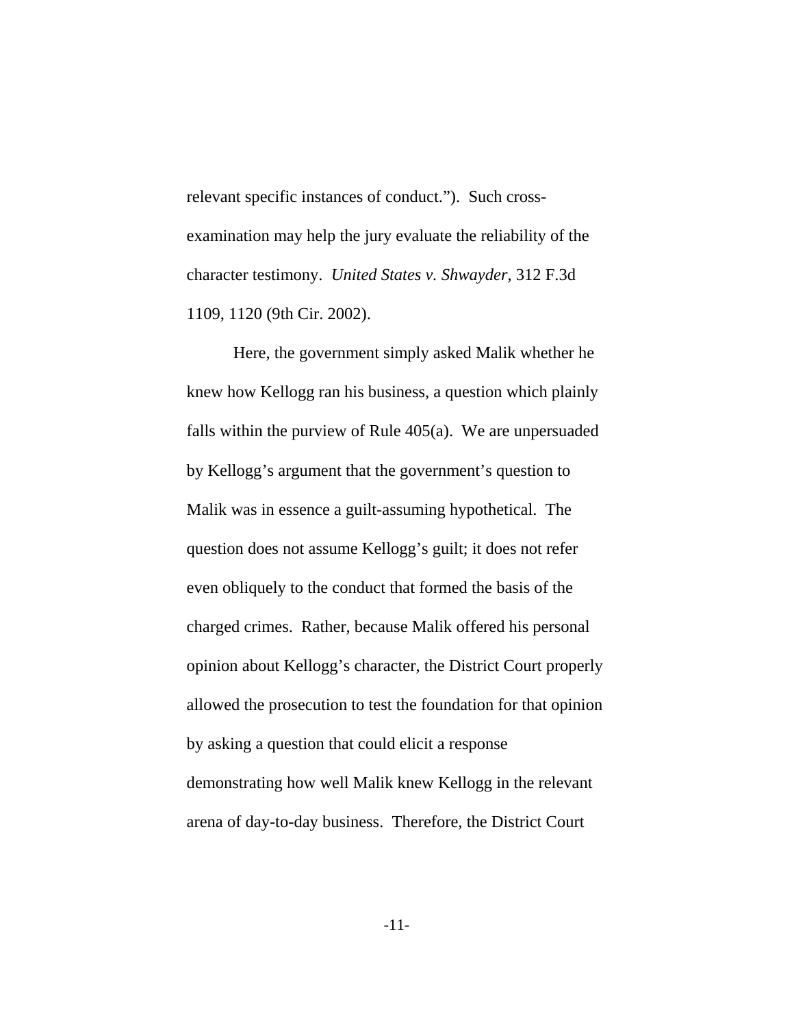relevant specific instances of conduct."). Such crossexamination may help the jury evaluate the reliability of the character testimony. *United States v. Shwayder*, 312 F.3d 1109, 1120 (9th Cir. 2002).

Here, the government simply asked Malik whether he knew how Kellogg ran his business, a question which plainly falls within the purview of Rule 405(a). We are unpersuaded by Kellogg's argument that the government's question to Malik was in essence a guilt-assuming hypothetical. The question does not assume Kellogg's guilt; it does not refer even obliquely to the conduct that formed the basis of the charged crimes. Rather, because Malik offered his personal opinion about Kellogg's character, the District Court properly allowed the prosecution to test the foundation for that opinion by asking a question that could elicit a response demonstrating how well Malik knew Kellogg in the relevant arena of day-to-day business. Therefore, the District Court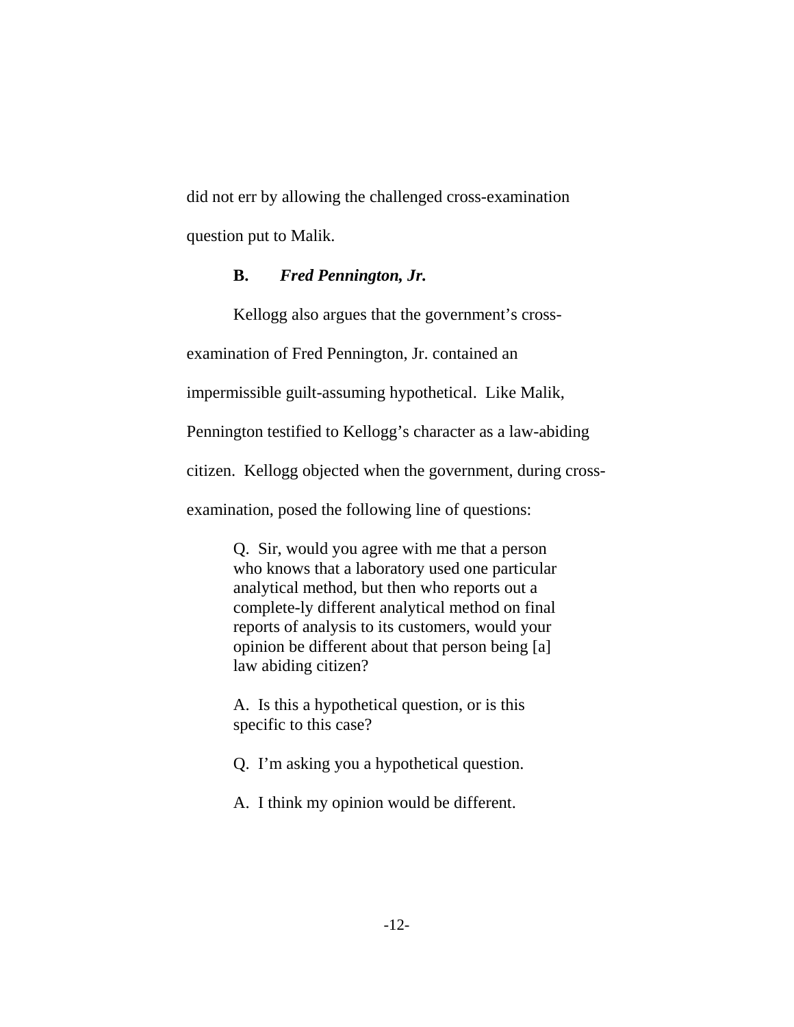did not err by allowing the challenged cross-examination question put to Malik.

#### **B.** *Fred Pennington, Jr.*

Kellogg also argues that the government's cross-

examination of Fred Pennington, Jr. contained an

impermissible guilt-assuming hypothetical. Like Malik,

Pennington testified to Kellogg's character as a law-abiding

citizen. Kellogg objected when the government, during cross-

examination, posed the following line of questions:

Q. Sir, would you agree with me that a person who knows that a laboratory used one particular analytical method, but then who reports out a complete-ly different analytical method on final reports of analysis to its customers, would your opinion be different about that person being [a] law abiding citizen?

A. Is this a hypothetical question, or is this specific to this case?

- Q. I'm asking you a hypothetical question.
- A. I think my opinion would be different.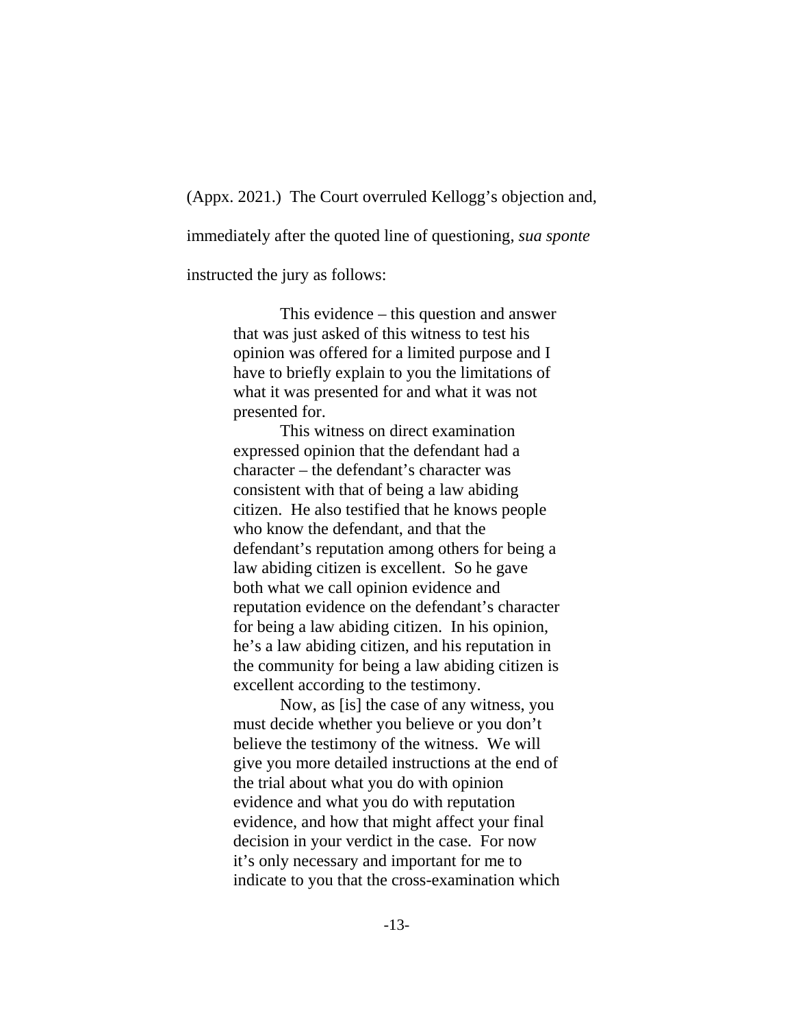(Appx. 2021.) The Court overruled Kellogg's objection and,

immediately after the quoted line of questioning, *sua sponte*

instructed the jury as follows:

This evidence – this question and answer that was just asked of this witness to test his opinion was offered for a limited purpose and I have to briefly explain to you the limitations of what it was presented for and what it was not presented for.

This witness on direct examination expressed opinion that the defendant had a character – the defendant's character was consistent with that of being a law abiding citizen. He also testified that he knows people who know the defendant, and that the defendant's reputation among others for being a law abiding citizen is excellent. So he gave both what we call opinion evidence and reputation evidence on the defendant's character for being a law abiding citizen. In his opinion, he's a law abiding citizen, and his reputation in the community for being a law abiding citizen is excellent according to the testimony.

Now, as [is] the case of any witness, you must decide whether you believe or you don't believe the testimony of the witness. We will give you more detailed instructions at the end of the trial about what you do with opinion evidence and what you do with reputation evidence, and how that might affect your final decision in your verdict in the case. For now it's only necessary and important for me to indicate to you that the cross-examination which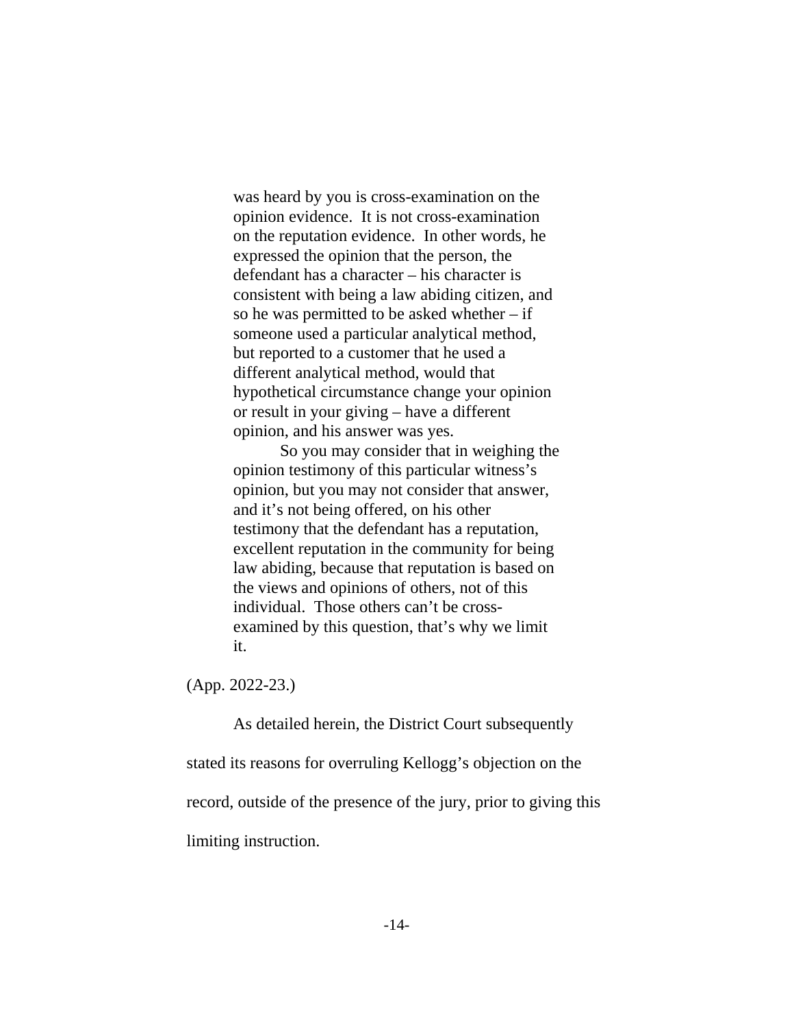was heard by you is cross-examination on the opinion evidence. It is not cross-examination on the reputation evidence. In other words, he expressed the opinion that the person, the defendant has a character – his character is consistent with being a law abiding citizen, and so he was permitted to be asked whether  $-$  if someone used a particular analytical method, but reported to a customer that he used a different analytical method, would that hypothetical circumstance change your opinion or result in your giving – have a different opinion, and his answer was yes.

So you may consider that in weighing the opinion testimony of this particular witness's opinion, but you may not consider that answer, and it's not being offered, on his other testimony that the defendant has a reputation, excellent reputation in the community for being law abiding, because that reputation is based on the views and opinions of others, not of this individual. Those others can't be crossexamined by this question, that's why we limit it.

(App. 2022-23.)

As detailed herein, the District Court subsequently stated its reasons for overruling Kellogg's objection on the record, outside of the presence of the jury, prior to giving this limiting instruction.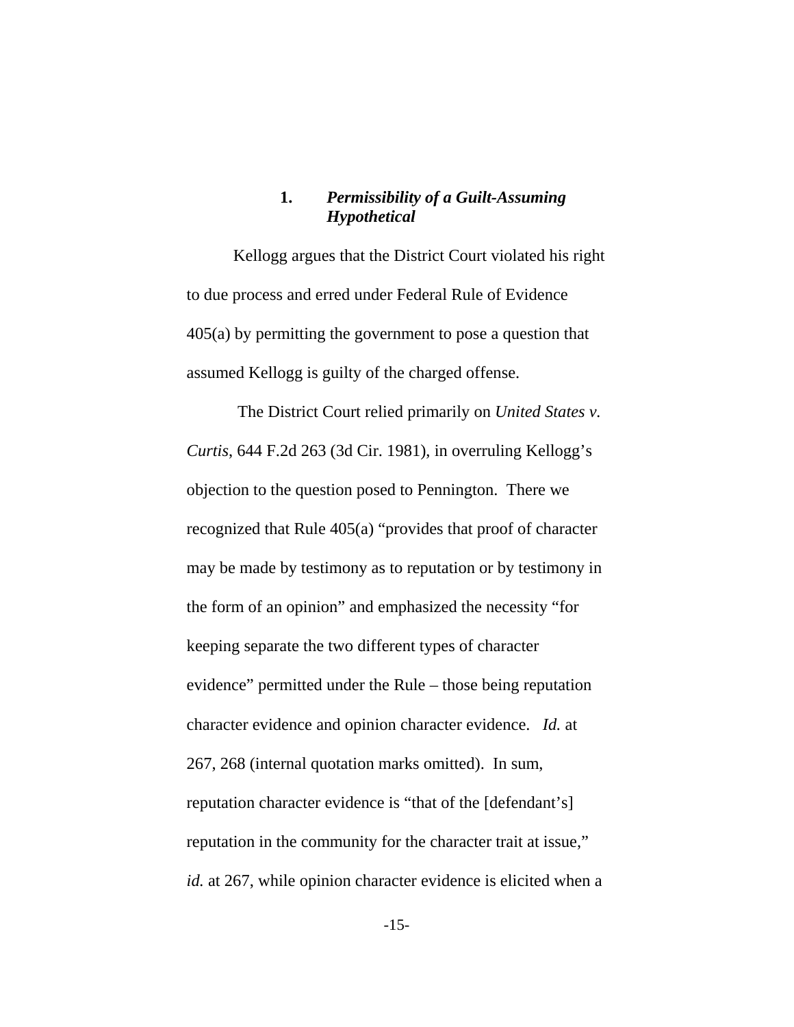# **1.** *Permissibility of a Guilt-Assuming Hypothetical*

Kellogg argues that the District Court violated his right to due process and erred under Federal Rule of Evidence 405(a) by permitting the government to pose a question that assumed Kellogg is guilty of the charged offense.

 The District Court relied primarily on *United States v. Curtis*, 644 F.2d 263 (3d Cir. 1981), in overruling Kellogg's objection to the question posed to Pennington. There we recognized that Rule 405(a) "provides that proof of character may be made by testimony as to reputation or by testimony in the form of an opinion" and emphasized the necessity "for keeping separate the two different types of character evidence" permitted under the Rule – those being reputation character evidence and opinion character evidence. *Id.* at 267, 268 (internal quotation marks omitted). In sum, reputation character evidence is "that of the [defendant's] reputation in the community for the character trait at issue," *id.* at 267, while opinion character evidence is elicited when a

-15-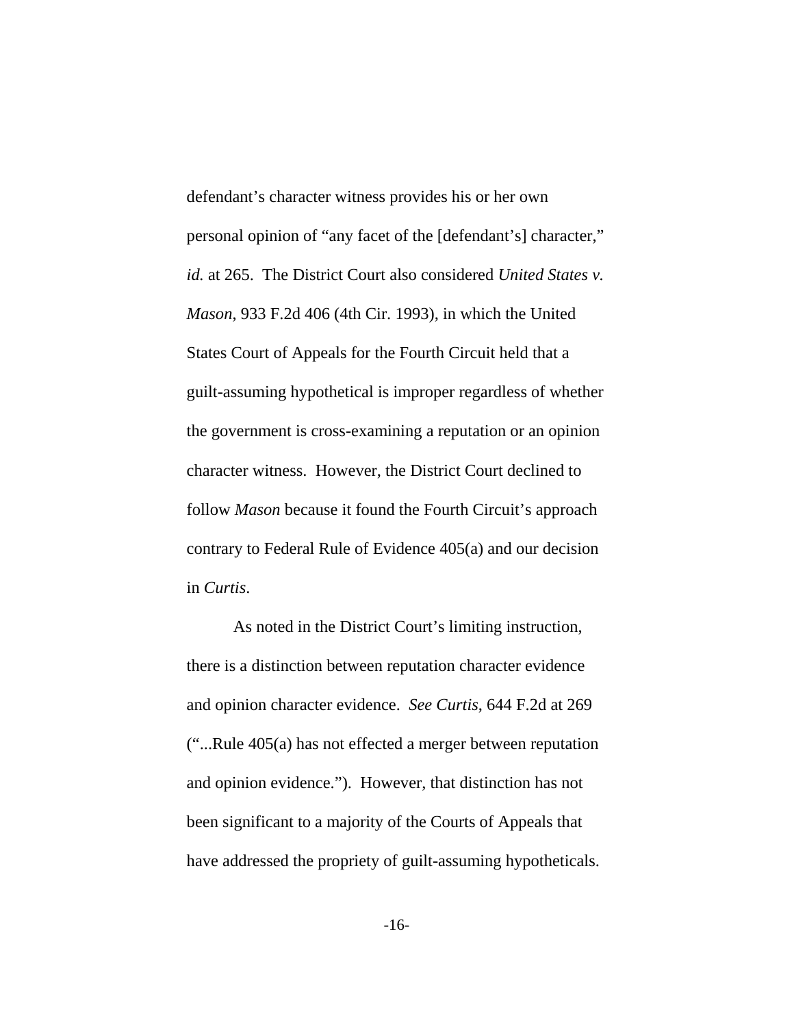defendant's character witness provides his or her own personal opinion of "any facet of the [defendant's] character," *id.* at 265. The District Court also considered *United States v. Mason*, 933 F.2d 406 (4th Cir. 1993), in which the United States Court of Appeals for the Fourth Circuit held that a guilt-assuming hypothetical is improper regardless of whether the government is cross-examining a reputation or an opinion character witness. However, the District Court declined to follow *Mason* because it found the Fourth Circuit's approach contrary to Federal Rule of Evidence 405(a) and our decision in *Curtis*.

As noted in the District Court's limiting instruction, there is a distinction between reputation character evidence and opinion character evidence. *See Curtis*, 644 F.2d at 269 ("...Rule 405(a) has not effected a merger between reputation and opinion evidence."). However, that distinction has not been significant to a majority of the Courts of Appeals that have addressed the propriety of guilt-assuming hypotheticals.

-16-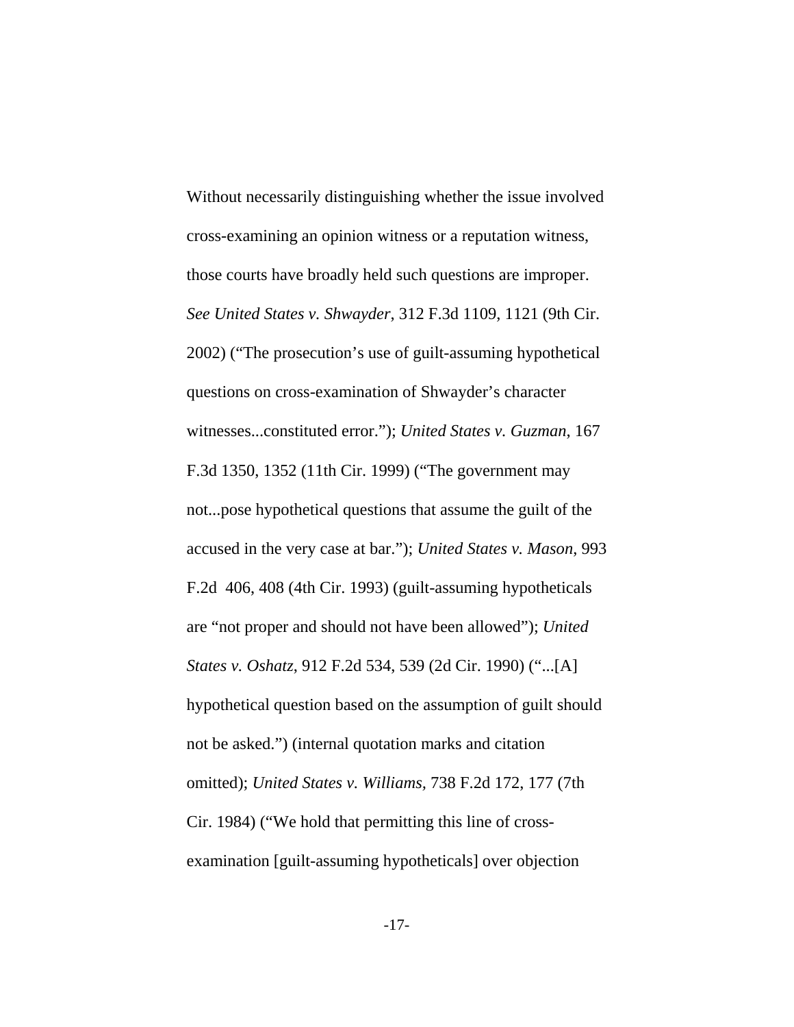Without necessarily distinguishing whether the issue involved cross-examining an opinion witness or a reputation witness, those courts have broadly held such questions are improper. *See United States v. Shwayder*, 312 F.3d 1109, 1121 (9th Cir. 2002) ("The prosecution's use of guilt-assuming hypothetical questions on cross-examination of Shwayder's character witnesses...constituted error."); *United States v. Guzman*, 167 F.3d 1350, 1352 (11th Cir. 1999) ("The government may not...pose hypothetical questions that assume the guilt of the accused in the very case at bar."); *United States v. Mason*, 993 F.2d 406, 408 (4th Cir. 1993) (guilt-assuming hypotheticals are "not proper and should not have been allowed"); *United States v. Oshatz*, 912 F.2d 534, 539 (2d Cir. 1990) ("...[A] hypothetical question based on the assumption of guilt should not be asked.") (internal quotation marks and citation omitted); *United States v. Williams,* 738 F.2d 172, 177 (7th Cir. 1984) ("We hold that permitting this line of crossexamination [guilt-assuming hypotheticals] over objection

-17-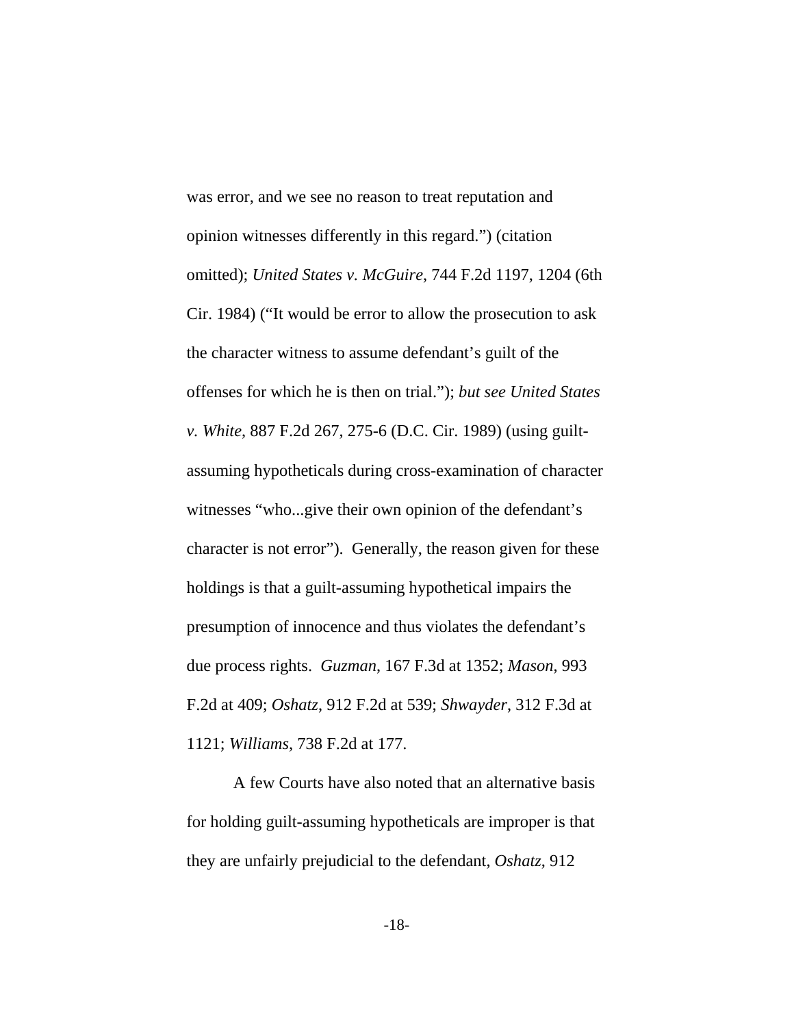was error, and we see no reason to treat reputation and opinion witnesses differently in this regard.") (citation omitted); *United States v. McGuire*, 744 F.2d 1197, 1204 (6th Cir. 1984) ("It would be error to allow the prosecution to ask the character witness to assume defendant's guilt of the offenses for which he is then on trial."); *but see United States v. White*, 887 F.2d 267, 275-6 (D.C. Cir. 1989) (using guiltassuming hypotheticals during cross-examination of character witnesses "who...give their own opinion of the defendant's character is not error"). Generally, the reason given for these holdings is that a guilt-assuming hypothetical impairs the presumption of innocence and thus violates the defendant's due process rights. *Guzman*, 167 F.3d at 1352; *Mason*, 993 F.2d at 409; *Oshatz*, 912 F.2d at 539; *Shwayder*, 312 F.3d at 1121; *Williams*, 738 F.2d at 177.

A few Courts have also noted that an alternative basis for holding guilt-assuming hypotheticals are improper is that they are unfairly prejudicial to the defendant, *Oshatz*, 912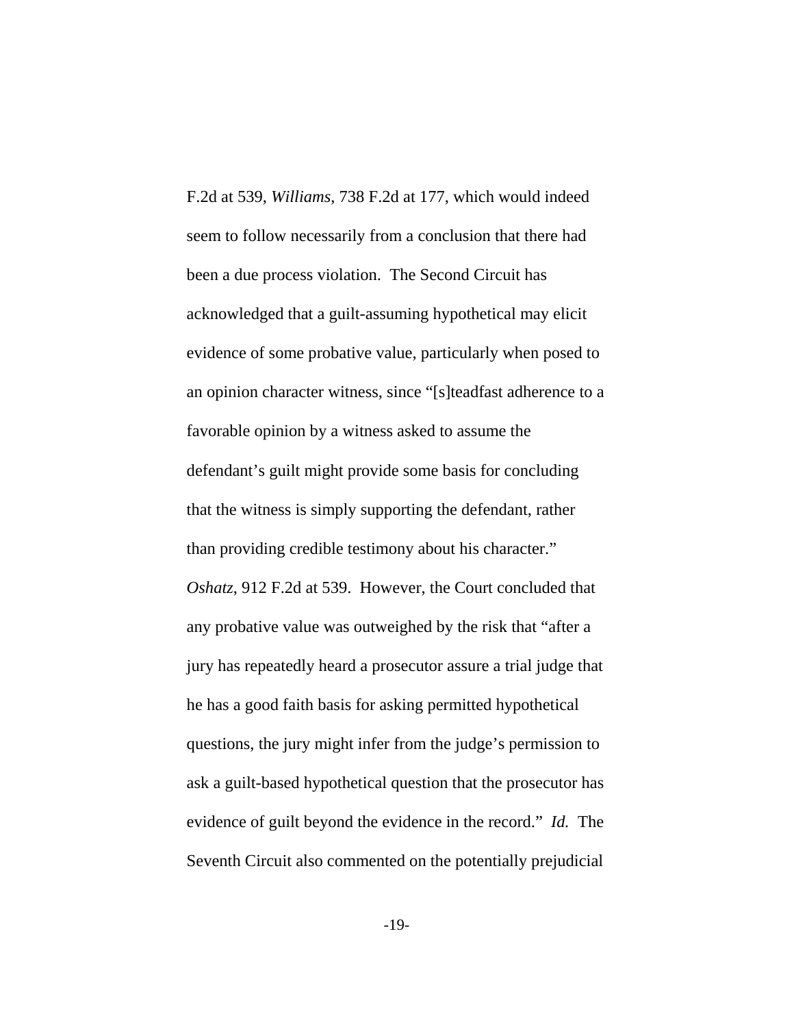F.2d at 539, *Williams*, 738 F.2d at 177, which would indeed seem to follow necessarily from a conclusion that there had been a due process violation. The Second Circuit has acknowledged that a guilt-assuming hypothetical may elicit evidence of some probative value, particularly when posed to an opinion character witness, since "[s]teadfast adherence to a favorable opinion by a witness asked to assume the defendant's guilt might provide some basis for concluding that the witness is simply supporting the defendant, rather than providing credible testimony about his character." *Oshatz*, 912 F.2d at 539. However, the Court concluded that any probative value was outweighed by the risk that "after a jury has repeatedly heard a prosecutor assure a trial judge that he has a good faith basis for asking permitted hypothetical questions, the jury might infer from the judge's permission to ask a guilt-based hypothetical question that the prosecutor has evidence of guilt beyond the evidence in the record." *Id.* The Seventh Circuit also commented on the potentially prejudicial

-19-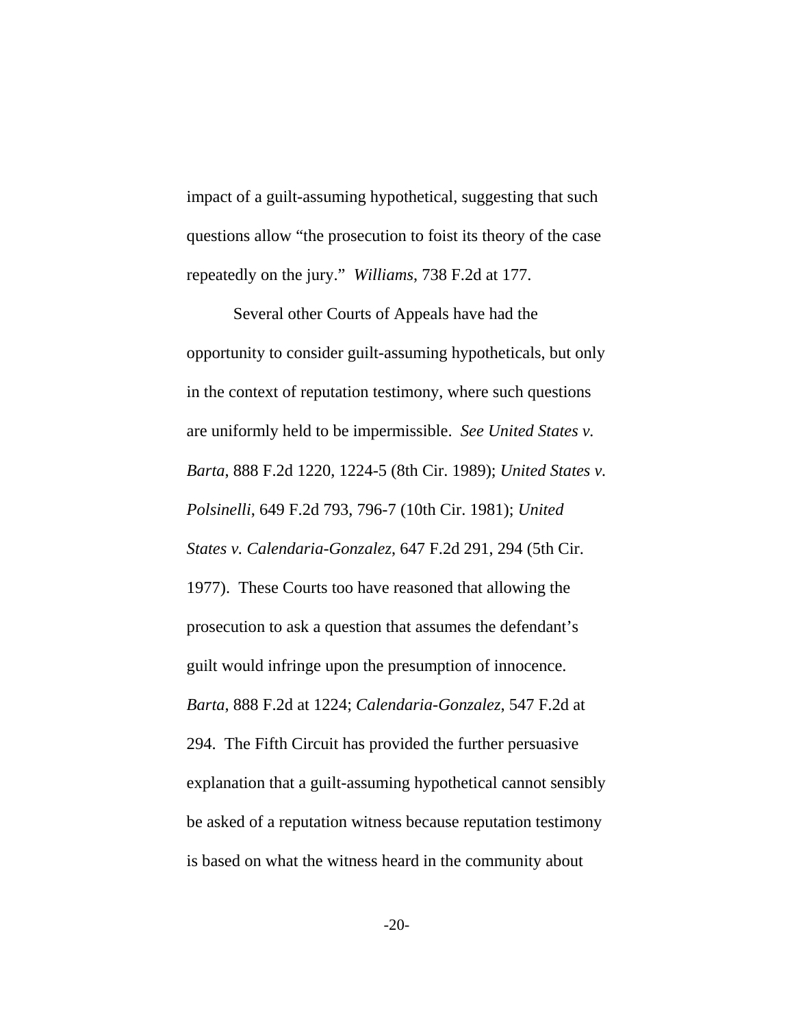impact of a guilt-assuming hypothetical, suggesting that such questions allow "the prosecution to foist its theory of the case repeatedly on the jury." *Williams*, 738 F.2d at 177.

Several other Courts of Appeals have had the opportunity to consider guilt-assuming hypotheticals, but only in the context of reputation testimony, where such questions are uniformly held to be impermissible. *See United States v. Barta*, 888 F.2d 1220, 1224-5 (8th Cir. 1989); *United States v. Polsinelli*, 649 F.2d 793, 796-7 (10th Cir. 1981); *United States v. Calendaria-Gonzalez*, 647 F.2d 291, 294 (5th Cir. 1977). These Courts too have reasoned that allowing the prosecution to ask a question that assumes the defendant's guilt would infringe upon the presumption of innocence. *Barta*, 888 F.2d at 1224; *Calendaria-Gonzalez*, 547 F.2d at 294. The Fifth Circuit has provided the further persuasive explanation that a guilt-assuming hypothetical cannot sensibly be asked of a reputation witness because reputation testimony is based on what the witness heard in the community about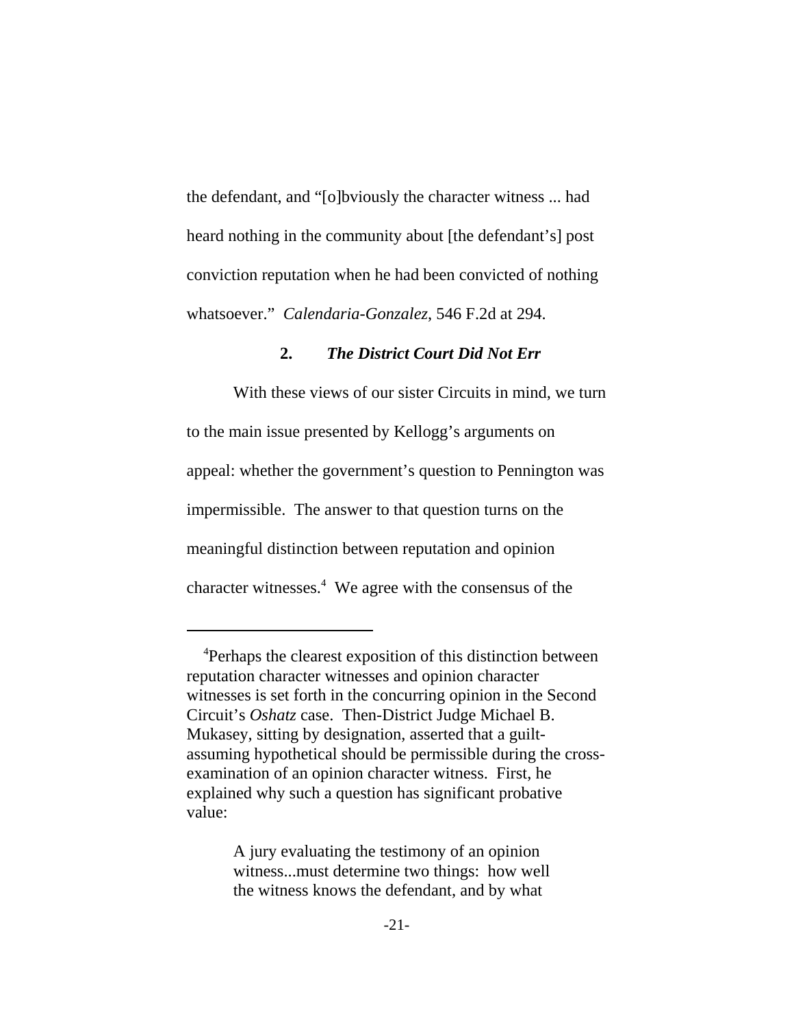the defendant, and "[o]bviously the character witness ... had heard nothing in the community about [the defendant's] post conviction reputation when he had been convicted of nothing whatsoever." *Calendaria-Gonzalez*, 546 F.2d at 294.

### **2.** *The District Court Did Not Err*

With these views of our sister Circuits in mind, we turn to the main issue presented by Kellogg's arguments on appeal: whether the government's question to Pennington was impermissible. The answer to that question turns on the meaningful distinction between reputation and opinion character witnesses.<sup>4</sup> We agree with the consensus of the

A jury evaluating the testimony of an opinion witness...must determine two things: how well the witness knows the defendant, and by what

 <sup>4</sup> Perhaps the clearest exposition of this distinction between reputation character witnesses and opinion character witnesses is set forth in the concurring opinion in the Second Circuit's *Oshatz* case. Then-District Judge Michael B. Mukasey, sitting by designation, asserted that a guiltassuming hypothetical should be permissible during the crossexamination of an opinion character witness. First, he explained why such a question has significant probative value: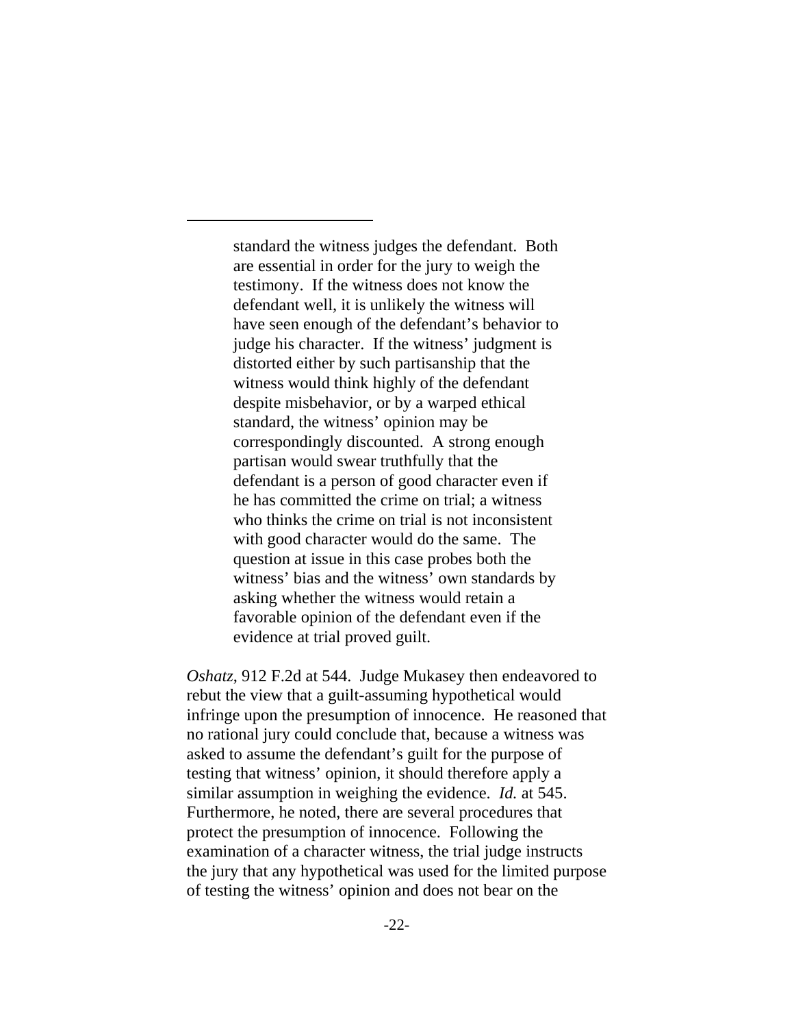standard the witness judges the defendant. Both are essential in order for the jury to weigh the testimony. If the witness does not know the defendant well, it is unlikely the witness will have seen enough of the defendant's behavior to judge his character. If the witness' judgment is distorted either by such partisanship that the witness would think highly of the defendant despite misbehavior, or by a warped ethical standard, the witness' opinion may be correspondingly discounted. A strong enough partisan would swear truthfully that the defendant is a person of good character even if he has committed the crime on trial; a witness who thinks the crime on trial is not inconsistent with good character would do the same. The question at issue in this case probes both the witness' bias and the witness' own standards by asking whether the witness would retain a favorable opinion of the defendant even if the evidence at trial proved guilt.

*Oshatz*, 912 F.2d at 544. Judge Mukasey then endeavored to rebut the view that a guilt-assuming hypothetical would infringe upon the presumption of innocence. He reasoned that no rational jury could conclude that, because a witness was asked to assume the defendant's guilt for the purpose of testing that witness' opinion, it should therefore apply a similar assumption in weighing the evidence. *Id.* at 545. Furthermore, he noted, there are several procedures that protect the presumption of innocence. Following the examination of a character witness, the trial judge instructs the jury that any hypothetical was used for the limited purpose of testing the witness' opinion and does not bear on the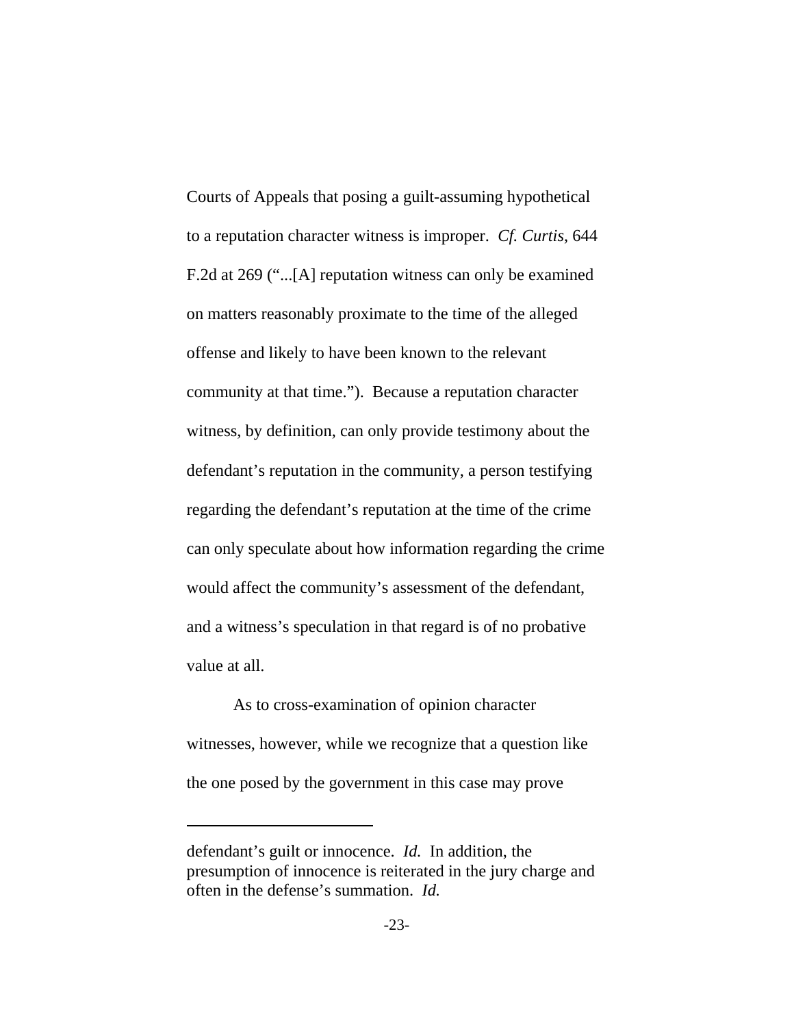Courts of Appeals that posing a guilt-assuming hypothetical to a reputation character witness is improper. *Cf. Curtis*, 644 F.2d at 269 ("...[A] reputation witness can only be examined on matters reasonably proximate to the time of the alleged offense and likely to have been known to the relevant community at that time."). Because a reputation character witness, by definition, can only provide testimony about the defendant's reputation in the community, a person testifying regarding the defendant's reputation at the time of the crime can only speculate about how information regarding the crime would affect the community's assessment of the defendant, and a witness's speculation in that regard is of no probative value at all.

As to cross-examination of opinion character witnesses, however, while we recognize that a question like the one posed by the government in this case may prove

defendant's guilt or innocence. *Id.* In addition, the presumption of innocence is reiterated in the jury charge and often in the defense's summation. *Id.*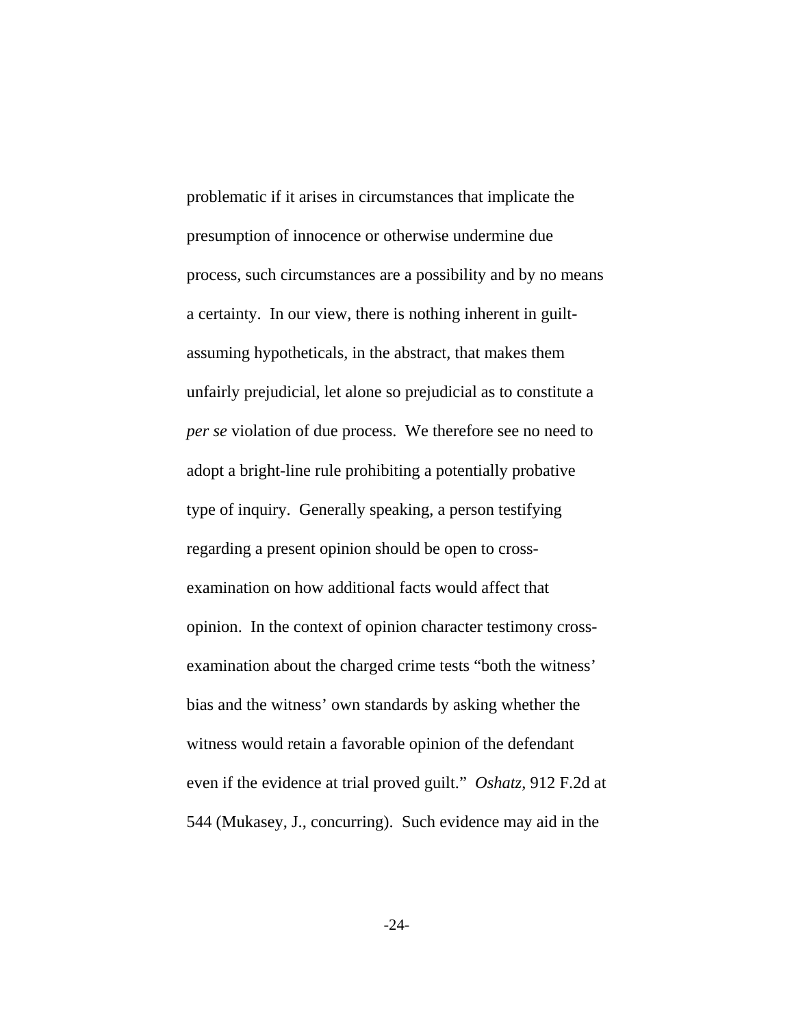problematic if it arises in circumstances that implicate the presumption of innocence or otherwise undermine due process, such circumstances are a possibility and by no means a certainty. In our view, there is nothing inherent in guiltassuming hypotheticals, in the abstract, that makes them unfairly prejudicial, let alone so prejudicial as to constitute a *per se* violation of due process. We therefore see no need to adopt a bright-line rule prohibiting a potentially probative type of inquiry. Generally speaking, a person testifying regarding a present opinion should be open to crossexamination on how additional facts would affect that opinion. In the context of opinion character testimony crossexamination about the charged crime tests "both the witness' bias and the witness' own standards by asking whether the witness would retain a favorable opinion of the defendant even if the evidence at trial proved guilt." *Oshatz*, 912 F.2d at 544 (Mukasey, J., concurring). Such evidence may aid in the

-24-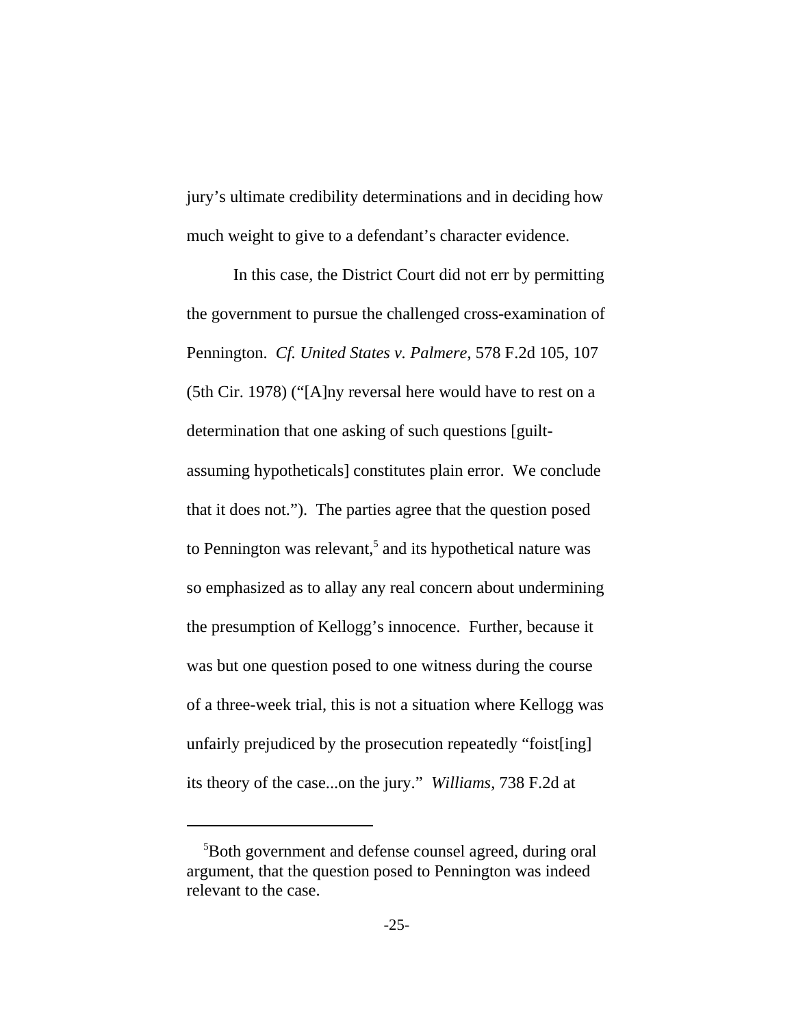jury's ultimate credibility determinations and in deciding how much weight to give to a defendant's character evidence.

In this case, the District Court did not err by permitting the government to pursue the challenged cross-examination of Pennington. *Cf. United States v. Palmere*, 578 F.2d 105, 107 (5th Cir. 1978) ("[A]ny reversal here would have to rest on a determination that one asking of such questions [guiltassuming hypotheticals] constitutes plain error. We conclude that it does not."). The parties agree that the question posed to Pennington was relevant,<sup>5</sup> and its hypothetical nature was so emphasized as to allay any real concern about undermining the presumption of Kellogg's innocence. Further, because it was but one question posed to one witness during the course of a three-week trial, this is not a situation where Kellogg was unfairly prejudiced by the prosecution repeatedly "foist[ing] its theory of the case...on the jury." *Williams*, 738 F.2d at

 <sup>5</sup> Both government and defense counsel agreed, during oral argument, that the question posed to Pennington was indeed relevant to the case.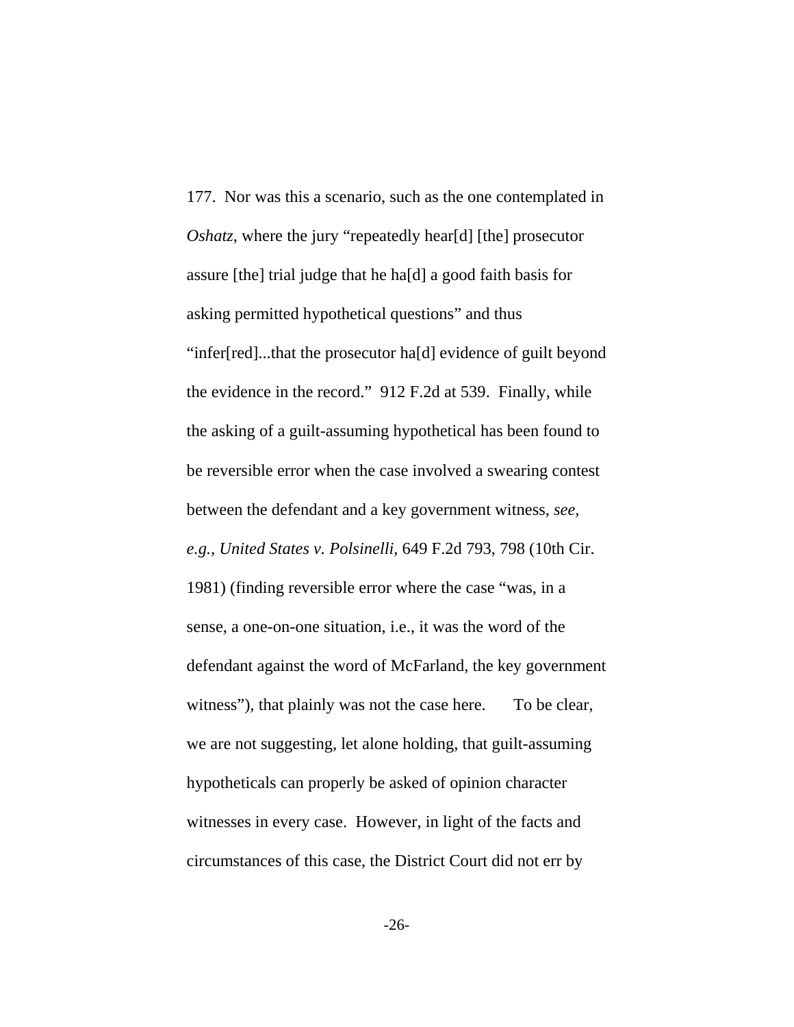177. Nor was this a scenario, such as the one contemplated in *Oshatz*, where the jury "repeatedly hear[d] [the] prosecutor assure [the] trial judge that he ha[d] a good faith basis for asking permitted hypothetical questions" and thus "infer[red]...that the prosecutor ha[d] evidence of guilt beyond the evidence in the record." 912 F.2d at 539. Finally, while the asking of a guilt-assuming hypothetical has been found to be reversible error when the case involved a swearing contest between the defendant and a key government witness, *see, e.g., United States v. Polsinelli*, 649 F.2d 793, 798 (10th Cir. 1981) (finding reversible error where the case "was, in a sense, a one-on-one situation, i.e., it was the word of the defendant against the word of McFarland, the key government witness"), that plainly was not the case here. To be clear, we are not suggesting, let alone holding, that guilt-assuming hypotheticals can properly be asked of opinion character witnesses in every case. However, in light of the facts and circumstances of this case, the District Court did not err by

-26-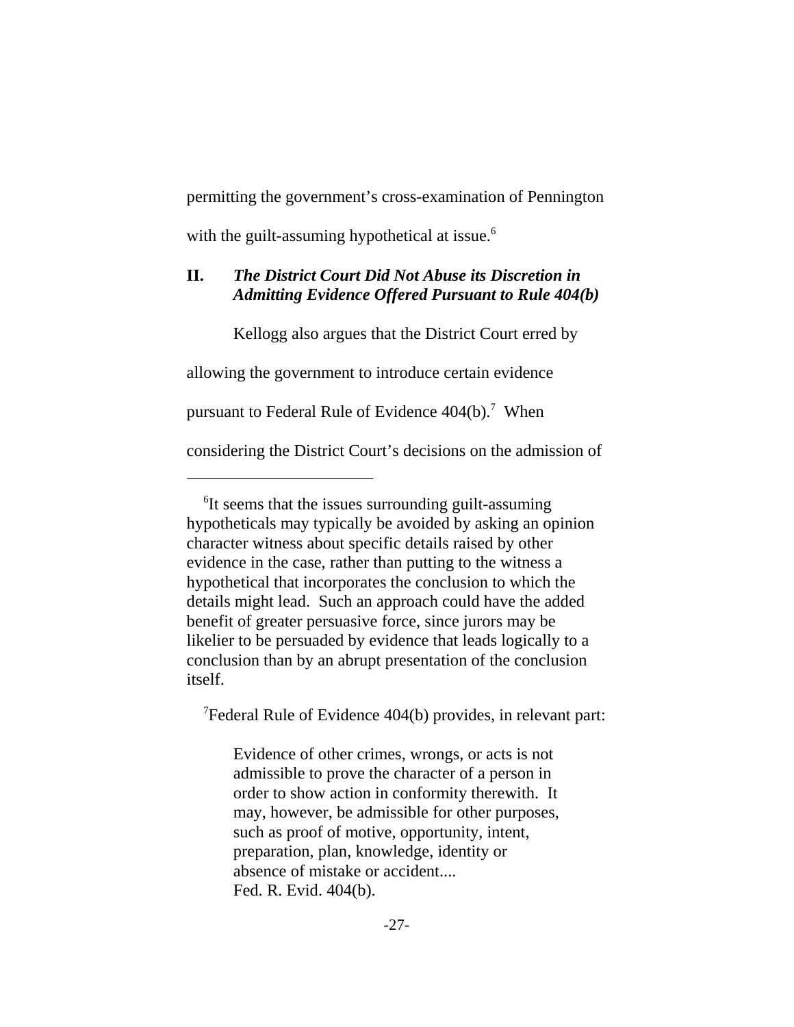permitting the government's cross-examination of Pennington with the guilt-assuming hypothetical at issue.<sup>6</sup>

# **II.** *The District Court Did Not Abuse its Discretion in Admitting Evidence Offered Pursuant to Rule 404(b)*

Kellogg also argues that the District Court erred by

allowing the government to introduce certain evidence

pursuant to Federal Rule of Evidence  $404(b)$ .<sup>7</sup> When

considering the District Court's decisions on the admission of

7 Federal Rule of Evidence 404(b) provides, in relevant part:

Evidence of other crimes, wrongs, or acts is not admissible to prove the character of a person in order to show action in conformity therewith. It may, however, be admissible for other purposes, such as proof of motive, opportunity, intent, preparation, plan, knowledge, identity or absence of mistake or accident.... Fed. R. Evid. 404(b).

 <sup>6</sup> It seems that the issues surrounding guilt-assuming hypotheticals may typically be avoided by asking an opinion character witness about specific details raised by other evidence in the case, rather than putting to the witness a hypothetical that incorporates the conclusion to which the details might lead. Such an approach could have the added benefit of greater persuasive force, since jurors may be likelier to be persuaded by evidence that leads logically to a conclusion than by an abrupt presentation of the conclusion itself.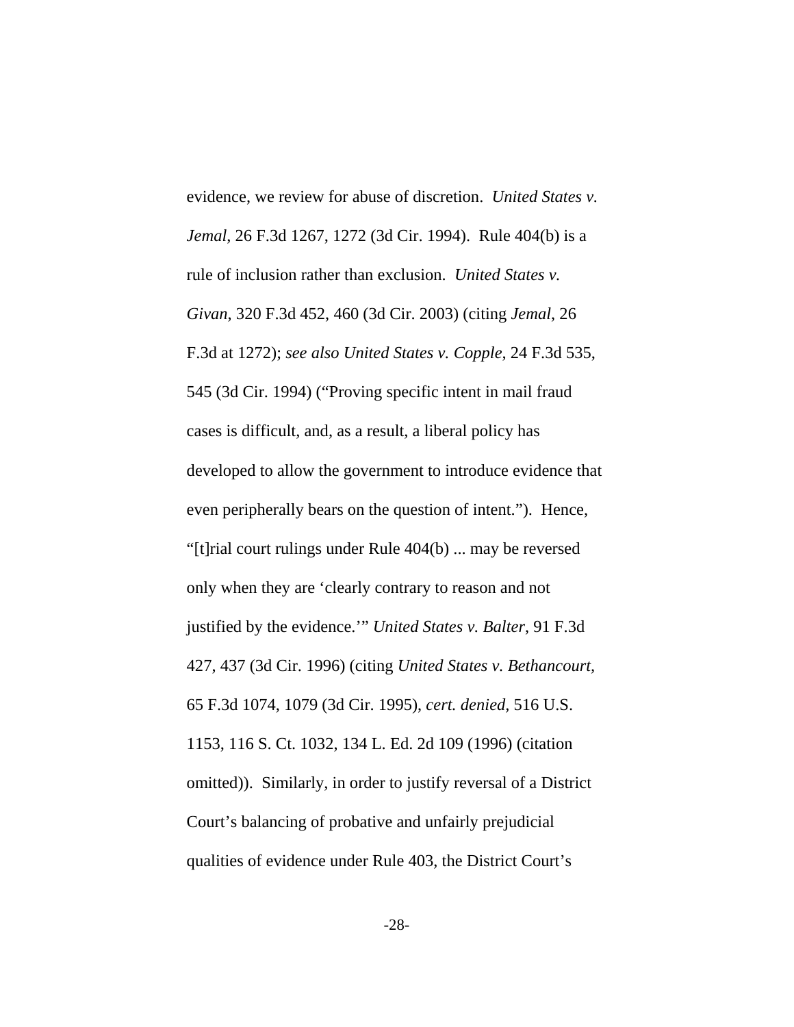evidence, we review for abuse of discretion. *United States v. Jemal*, 26 F.3d 1267, 1272 (3d Cir. 1994). Rule 404(b) is a rule of inclusion rather than exclusion. *United States v. Givan*, 320 F.3d 452, 460 (3d Cir. 2003) (citing *Jemal*, 26 F.3d at 1272); *see also United States v. Copple*, 24 F.3d 535, 545 (3d Cir. 1994) ("Proving specific intent in mail fraud cases is difficult, and, as a result, a liberal policy has developed to allow the government to introduce evidence that even peripherally bears on the question of intent."). Hence, "[t]rial court rulings under Rule 404(b) ... may be reversed only when they are 'clearly contrary to reason and not justified by the evidence.'" *United States v. Balter*, 91 F.3d 427, 437 (3d Cir. 1996) (citing *United States v. Bethancourt,* 65 F.3d 1074, 1079 (3d Cir. 1995), *cert. denied,* 516 U.S. 1153, 116 S. Ct. 1032, 134 L. Ed. 2d 109 (1996) (citation omitted)). Similarly, in order to justify reversal of a District Court's balancing of probative and unfairly prejudicial qualities of evidence under Rule 403, the District Court's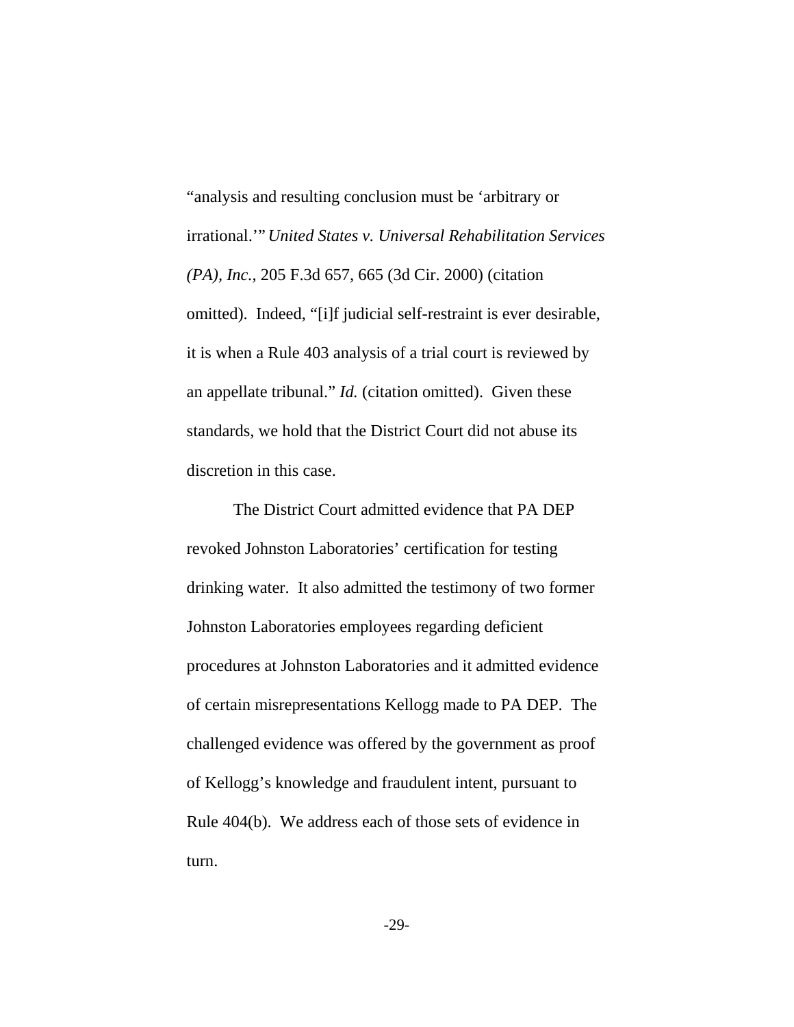"analysis and resulting conclusion must be 'arbitrary or irrational.'" *United States v. Universal Rehabilitation Services (PA), Inc.*, 205 F.3d 657, 665 (3d Cir. 2000) (citation omitted). Indeed, "[i]f judicial self-restraint is ever desirable, it is when a Rule 403 analysis of a trial court is reviewed by an appellate tribunal." *Id.* (citation omitted). Given these standards, we hold that the District Court did not abuse its discretion in this case.

The District Court admitted evidence that PA DEP revoked Johnston Laboratories' certification for testing drinking water. It also admitted the testimony of two former Johnston Laboratories employees regarding deficient procedures at Johnston Laboratories and it admitted evidence of certain misrepresentations Kellogg made to PA DEP. The challenged evidence was offered by the government as proof of Kellogg's knowledge and fraudulent intent, pursuant to Rule 404(b). We address each of those sets of evidence in turn.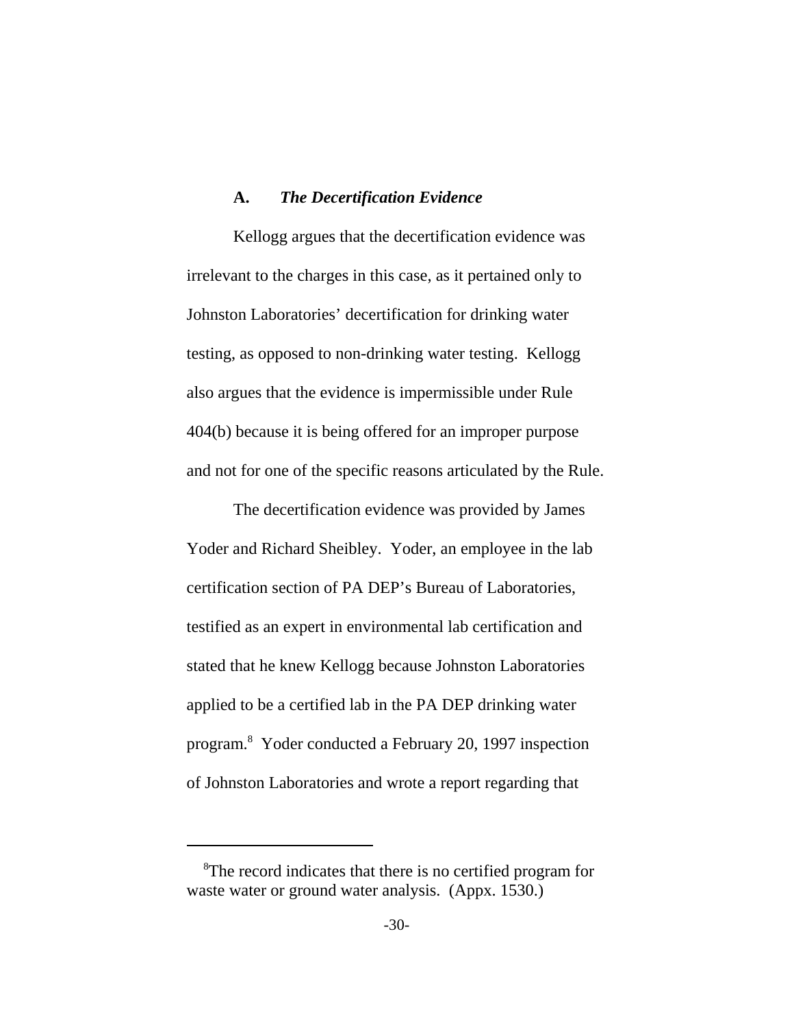#### **A.** *The Decertification Evidence*

Kellogg argues that the decertification evidence was irrelevant to the charges in this case, as it pertained only to Johnston Laboratories' decertification for drinking water testing, as opposed to non-drinking water testing. Kellogg also argues that the evidence is impermissible under Rule 404(b) because it is being offered for an improper purpose and not for one of the specific reasons articulated by the Rule.

The decertification evidence was provided by James Yoder and Richard Sheibley. Yoder, an employee in the lab certification section of PA DEP's Bureau of Laboratories, testified as an expert in environmental lab certification and stated that he knew Kellogg because Johnston Laboratories applied to be a certified lab in the PA DEP drinking water program.8 Yoder conducted a February 20, 1997 inspection of Johnston Laboratories and wrote a report regarding that

<sup>&</sup>lt;sup>8</sup>The record indicates that there is no certified program for waste water or ground water analysis. (Appx. 1530.)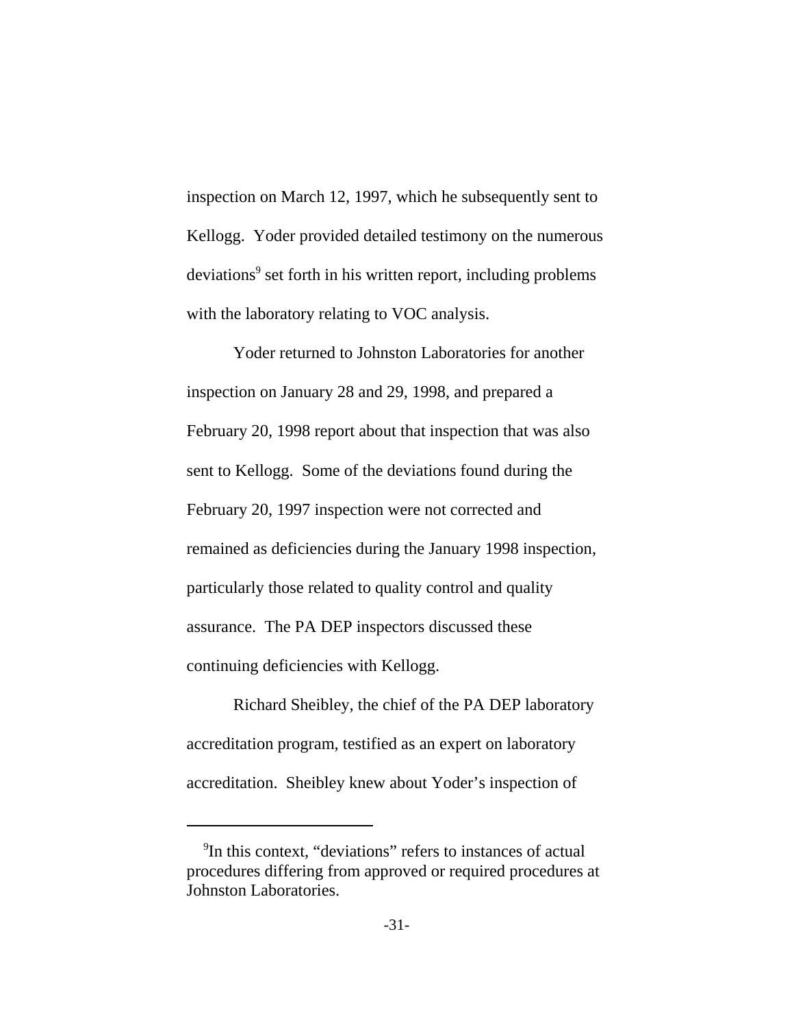inspection on March 12, 1997, which he subsequently sent to Kellogg. Yoder provided detailed testimony on the numerous deviations<sup>9</sup> set forth in his written report, including problems with the laboratory relating to VOC analysis.

Yoder returned to Johnston Laboratories for another inspection on January 28 and 29, 1998, and prepared a February 20, 1998 report about that inspection that was also sent to Kellogg. Some of the deviations found during the February 20, 1997 inspection were not corrected and remained as deficiencies during the January 1998 inspection, particularly those related to quality control and quality assurance. The PA DEP inspectors discussed these continuing deficiencies with Kellogg.

Richard Sheibley, the chief of the PA DEP laboratory accreditation program, testified as an expert on laboratory accreditation. Sheibley knew about Yoder's inspection of

<sup>&</sup>lt;sup>9</sup>In this context, "deviations" refers to instances of actual procedures differing from approved or required procedures at Johnston Laboratories.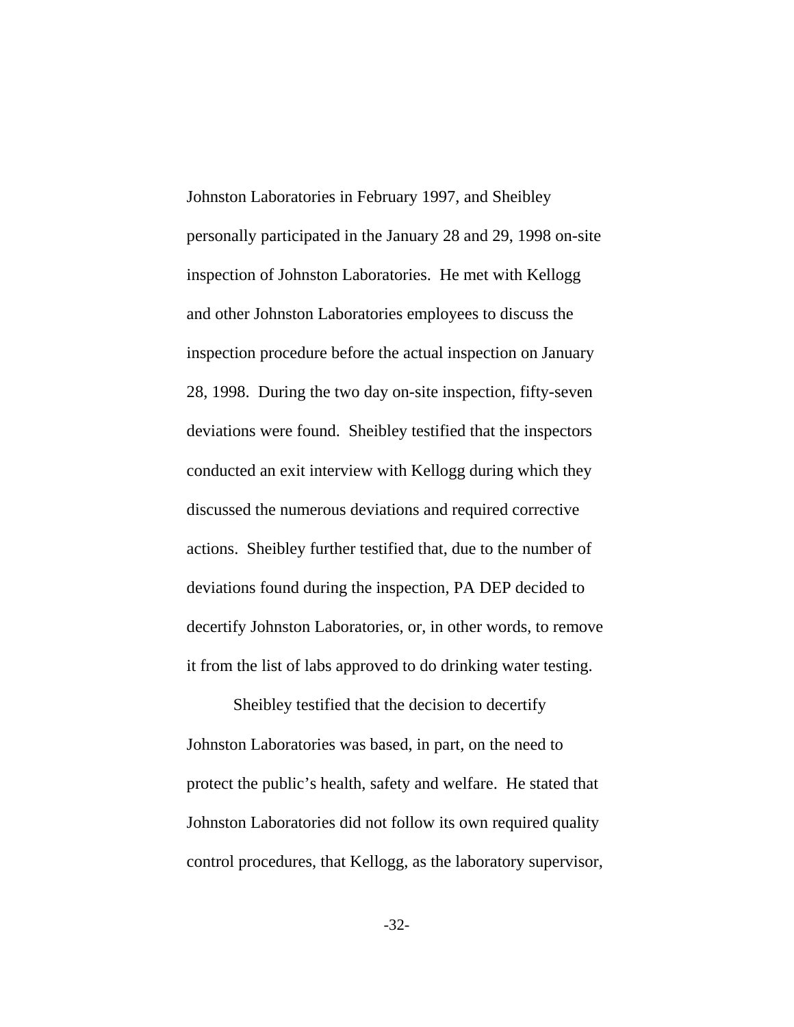Johnston Laboratories in February 1997, and Sheibley personally participated in the January 28 and 29, 1998 on-site inspection of Johnston Laboratories. He met with Kellogg and other Johnston Laboratories employees to discuss the inspection procedure before the actual inspection on January 28, 1998. During the two day on-site inspection, fifty-seven deviations were found. Sheibley testified that the inspectors conducted an exit interview with Kellogg during which they discussed the numerous deviations and required corrective actions. Sheibley further testified that, due to the number of deviations found during the inspection, PA DEP decided to decertify Johnston Laboratories, or, in other words, to remove it from the list of labs approved to do drinking water testing.

Sheibley testified that the decision to decertify Johnston Laboratories was based, in part, on the need to protect the public's health, safety and welfare. He stated that Johnston Laboratories did not follow its own required quality control procedures, that Kellogg, as the laboratory supervisor,

-32-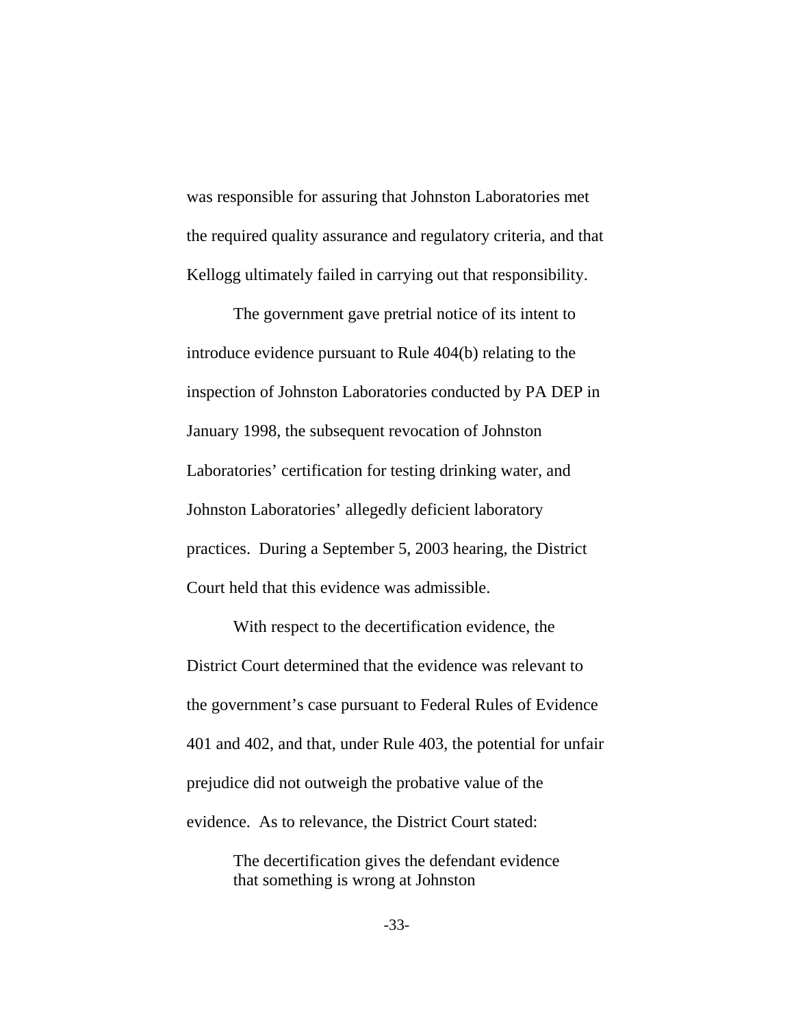was responsible for assuring that Johnston Laboratories met the required quality assurance and regulatory criteria, and that Kellogg ultimately failed in carrying out that responsibility.

The government gave pretrial notice of its intent to introduce evidence pursuant to Rule 404(b) relating to the inspection of Johnston Laboratories conducted by PA DEP in January 1998, the subsequent revocation of Johnston Laboratories' certification for testing drinking water, and Johnston Laboratories' allegedly deficient laboratory practices. During a September 5, 2003 hearing, the District Court held that this evidence was admissible.

With respect to the decertification evidence, the District Court determined that the evidence was relevant to the government's case pursuant to Federal Rules of Evidence 401 and 402, and that, under Rule 403, the potential for unfair prejudice did not outweigh the probative value of the evidence. As to relevance, the District Court stated:

> The decertification gives the defendant evidence that something is wrong at Johnston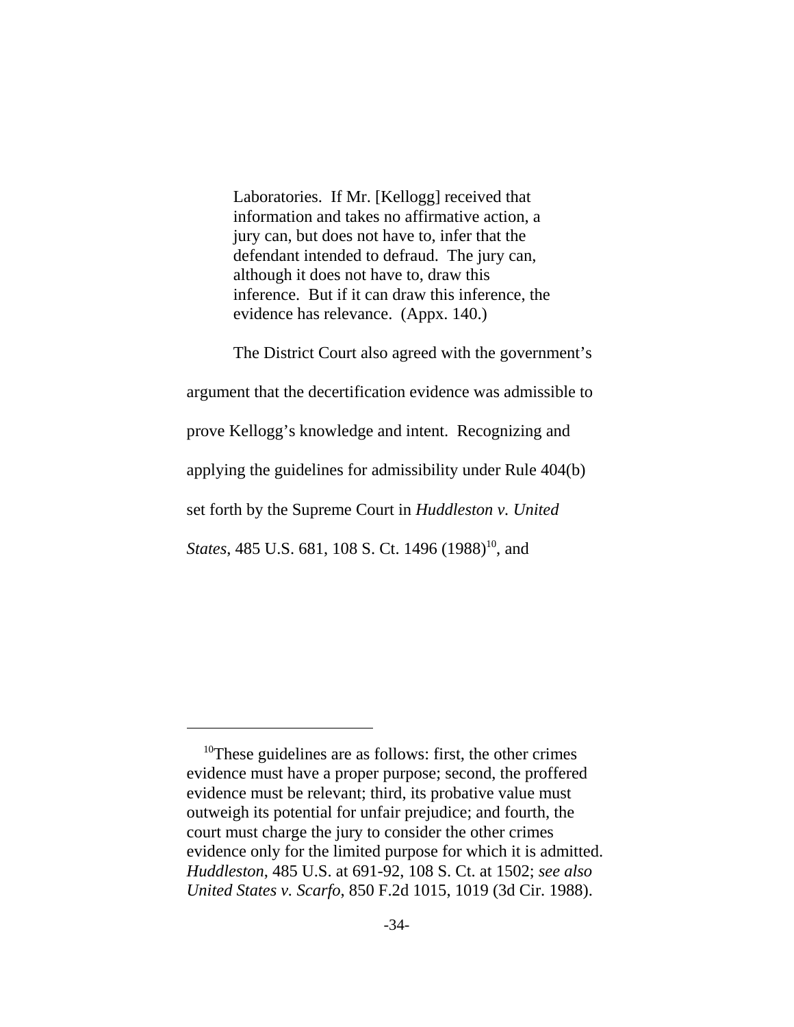Laboratories. If Mr. [Kellogg] received that information and takes no affirmative action, a jury can, but does not have to, infer that the defendant intended to defraud. The jury can, although it does not have to, draw this inference. But if it can draw this inference, the evidence has relevance. (Appx. 140.)

The District Court also agreed with the government's argument that the decertification evidence was admissible to prove Kellogg's knowledge and intent. Recognizing and applying the guidelines for admissibility under Rule 404(b) set forth by the Supreme Court in *Huddleston v. United States*, 485 U.S. 681, 108 S. Ct. 1496 (1988)<sup>10</sup>, and

<sup>&</sup>lt;sup>10</sup>These guidelines are as follows: first, the other crimes evidence must have a proper purpose; second, the proffered evidence must be relevant; third, its probative value must outweigh its potential for unfair prejudice; and fourth, the court must charge the jury to consider the other crimes evidence only for the limited purpose for which it is admitted. *Huddleston*, 485 U.S. at 691-92, 108 S. Ct. at 1502; *see also United States v. Scarfo*, 850 F.2d 1015, 1019 (3d Cir. 1988).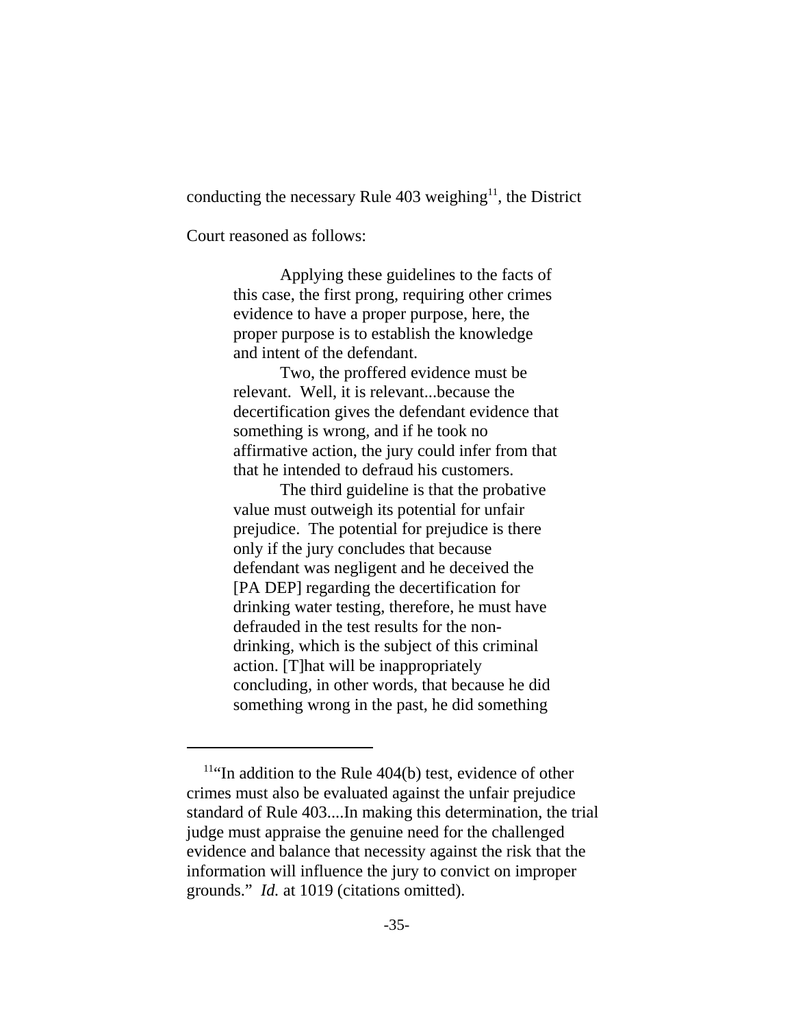conducting the necessary Rule  $403$  weighing<sup>11</sup>, the District

Court reasoned as follows:

Applying these guidelines to the facts of this case, the first prong, requiring other crimes evidence to have a proper purpose, here, the proper purpose is to establish the knowledge and intent of the defendant.

Two, the proffered evidence must be relevant. Well, it is relevant...because the decertification gives the defendant evidence that something is wrong, and if he took no affirmative action, the jury could infer from that that he intended to defraud his customers.

The third guideline is that the probative value must outweigh its potential for unfair prejudice. The potential for prejudice is there only if the jury concludes that because defendant was negligent and he deceived the [PA DEP] regarding the decertification for drinking water testing, therefore, he must have defrauded in the test results for the nondrinking, which is the subject of this criminal action. [T]hat will be inappropriately concluding, in other words, that because he did something wrong in the past, he did something

 $11$ "In addition to the Rule 404(b) test, evidence of other crimes must also be evaluated against the unfair prejudice standard of Rule 403....In making this determination, the trial judge must appraise the genuine need for the challenged evidence and balance that necessity against the risk that the information will influence the jury to convict on improper grounds." *Id.* at 1019 (citations omitted).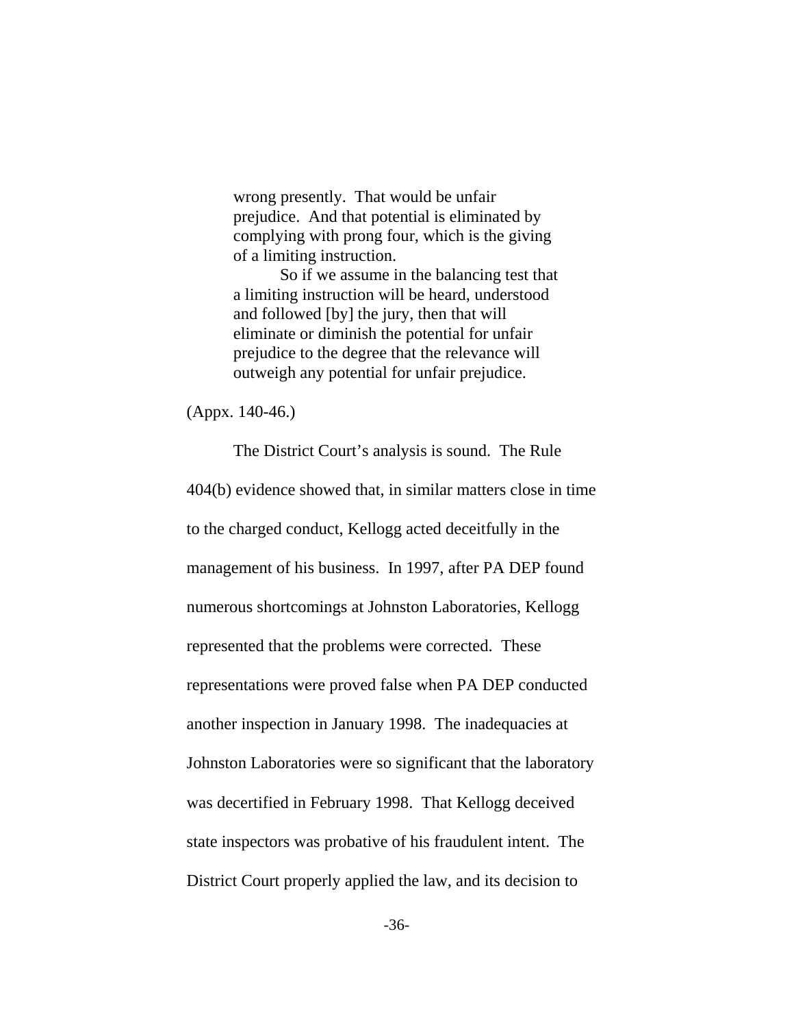wrong presently. That would be unfair prejudice. And that potential is eliminated by complying with prong four, which is the giving of a limiting instruction.

So if we assume in the balancing test that a limiting instruction will be heard, understood and followed [by] the jury, then that will eliminate or diminish the potential for unfair prejudice to the degree that the relevance will outweigh any potential for unfair prejudice.

(Appx. 140-46.)

The District Court's analysis is sound. The Rule 404(b) evidence showed that, in similar matters close in time to the charged conduct, Kellogg acted deceitfully in the management of his business. In 1997, after PA DEP found numerous shortcomings at Johnston Laboratories, Kellogg represented that the problems were corrected. These representations were proved false when PA DEP conducted another inspection in January 1998. The inadequacies at Johnston Laboratories were so significant that the laboratory was decertified in February 1998. That Kellogg deceived state inspectors was probative of his fraudulent intent. The District Court properly applied the law, and its decision to

-36-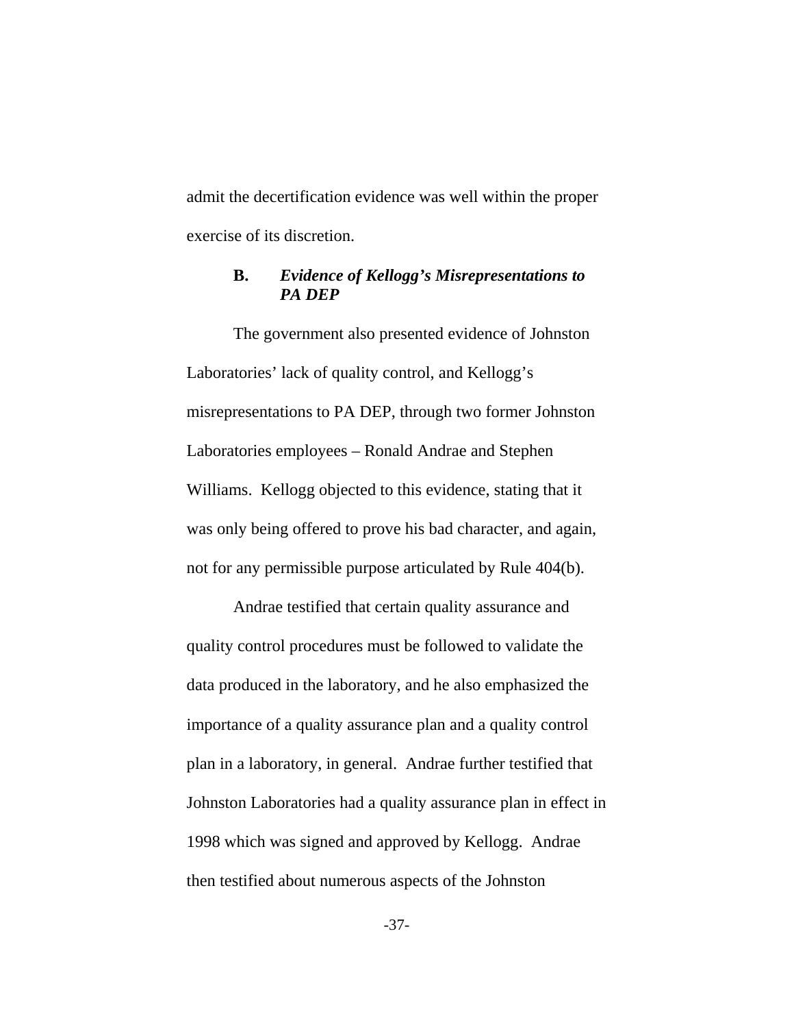admit the decertification evidence was well within the proper exercise of its discretion.

# **B.** *Evidence of Kellogg's Misrepresentations to PA DEP*

The government also presented evidence of Johnston Laboratories' lack of quality control, and Kellogg's misrepresentations to PA DEP, through two former Johnston Laboratories employees – Ronald Andrae and Stephen Williams. Kellogg objected to this evidence, stating that it was only being offered to prove his bad character, and again, not for any permissible purpose articulated by Rule 404(b).

Andrae testified that certain quality assurance and quality control procedures must be followed to validate the data produced in the laboratory, and he also emphasized the importance of a quality assurance plan and a quality control plan in a laboratory, in general. Andrae further testified that Johnston Laboratories had a quality assurance plan in effect in 1998 which was signed and approved by Kellogg. Andrae then testified about numerous aspects of the Johnston

-37-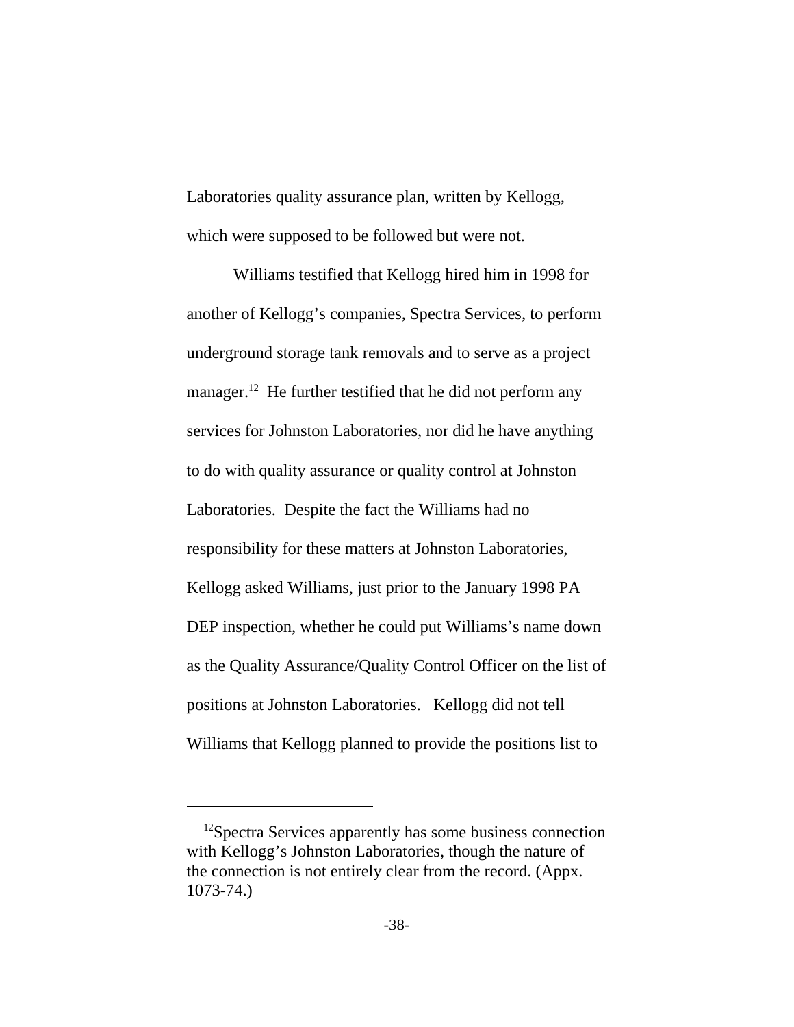Laboratories quality assurance plan, written by Kellogg, which were supposed to be followed but were not.

Williams testified that Kellogg hired him in 1998 for another of Kellogg's companies, Spectra Services, to perform underground storage tank removals and to serve as a project manager.<sup>12</sup> He further testified that he did not perform any services for Johnston Laboratories, nor did he have anything to do with quality assurance or quality control at Johnston Laboratories. Despite the fact the Williams had no responsibility for these matters at Johnston Laboratories, Kellogg asked Williams, just prior to the January 1998 PA DEP inspection, whether he could put Williams's name down as the Quality Assurance/Quality Control Officer on the list of positions at Johnston Laboratories. Kellogg did not tell Williams that Kellogg planned to provide the positions list to

<sup>&</sup>lt;sup>12</sup>Spectra Services apparently has some business connection with Kellogg's Johnston Laboratories, though the nature of the connection is not entirely clear from the record. (Appx. 1073-74.)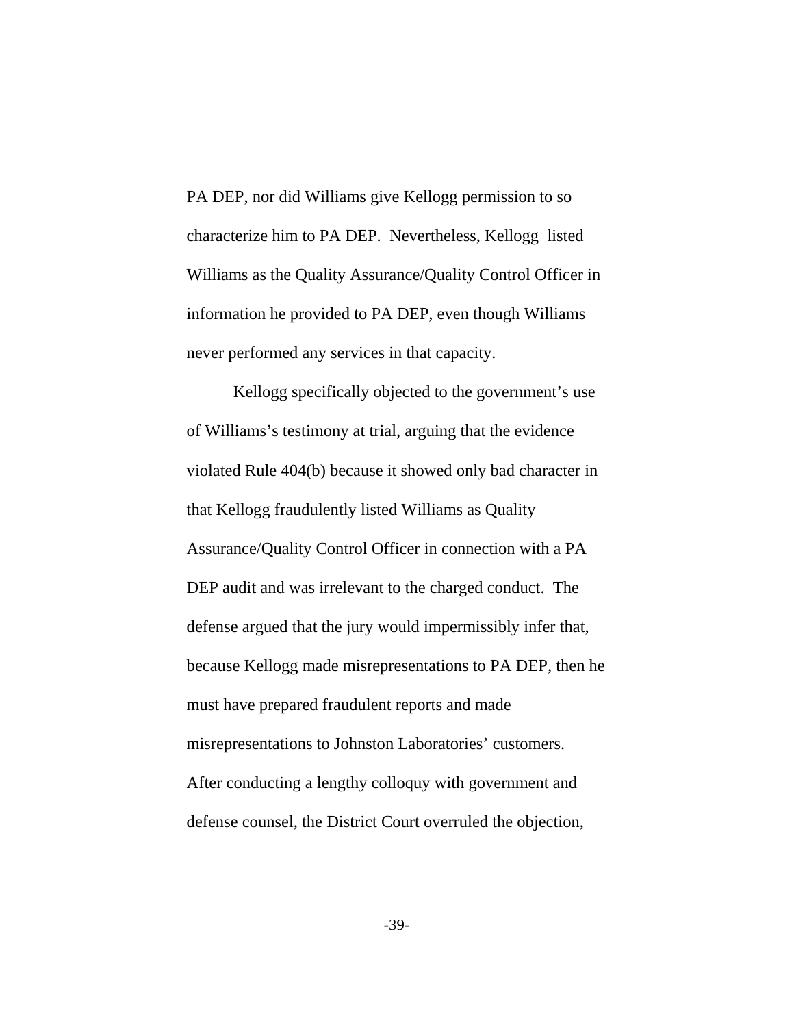PA DEP, nor did Williams give Kellogg permission to so characterize him to PA DEP. Nevertheless, Kellogg listed Williams as the Quality Assurance/Quality Control Officer in information he provided to PA DEP, even though Williams never performed any services in that capacity.

Kellogg specifically objected to the government's use of Williams's testimony at trial, arguing that the evidence violated Rule 404(b) because it showed only bad character in that Kellogg fraudulently listed Williams as Quality Assurance/Quality Control Officer in connection with a PA DEP audit and was irrelevant to the charged conduct. The defense argued that the jury would impermissibly infer that, because Kellogg made misrepresentations to PA DEP, then he must have prepared fraudulent reports and made misrepresentations to Johnston Laboratories' customers. After conducting a lengthy colloquy with government and defense counsel, the District Court overruled the objection,

-39-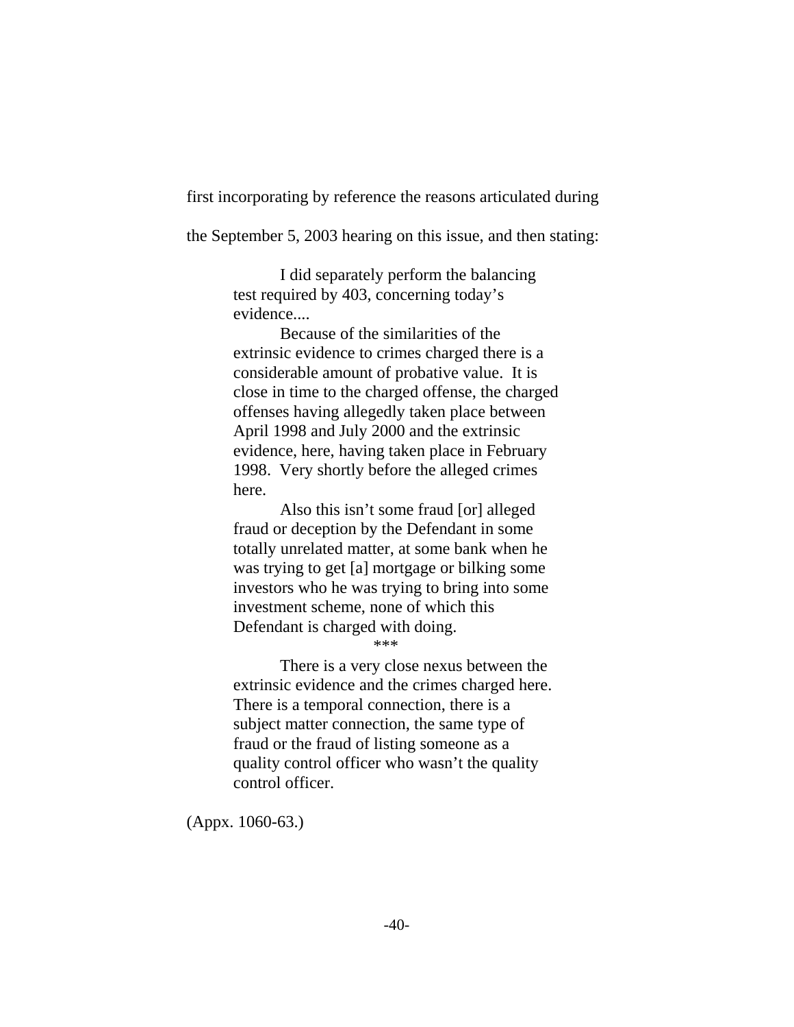first incorporating by reference the reasons articulated during

the September 5, 2003 hearing on this issue, and then stating:

I did separately perform the balancing test required by 403, concerning today's evidence....

Because of the similarities of the extrinsic evidence to crimes charged there is a considerable amount of probative value. It is close in time to the charged offense, the charged offenses having allegedly taken place between April 1998 and July 2000 and the extrinsic evidence, here, having taken place in February 1998. Very shortly before the alleged crimes here.

Also this isn't some fraud [or] alleged fraud or deception by the Defendant in some totally unrelated matter, at some bank when he was trying to get [a] mortgage or bilking some investors who he was trying to bring into some investment scheme, none of which this Defendant is charged with doing.

\*\*\*

There is a very close nexus between the extrinsic evidence and the crimes charged here. There is a temporal connection, there is a subject matter connection, the same type of fraud or the fraud of listing someone as a quality control officer who wasn't the quality control officer.

(Appx. 1060-63.)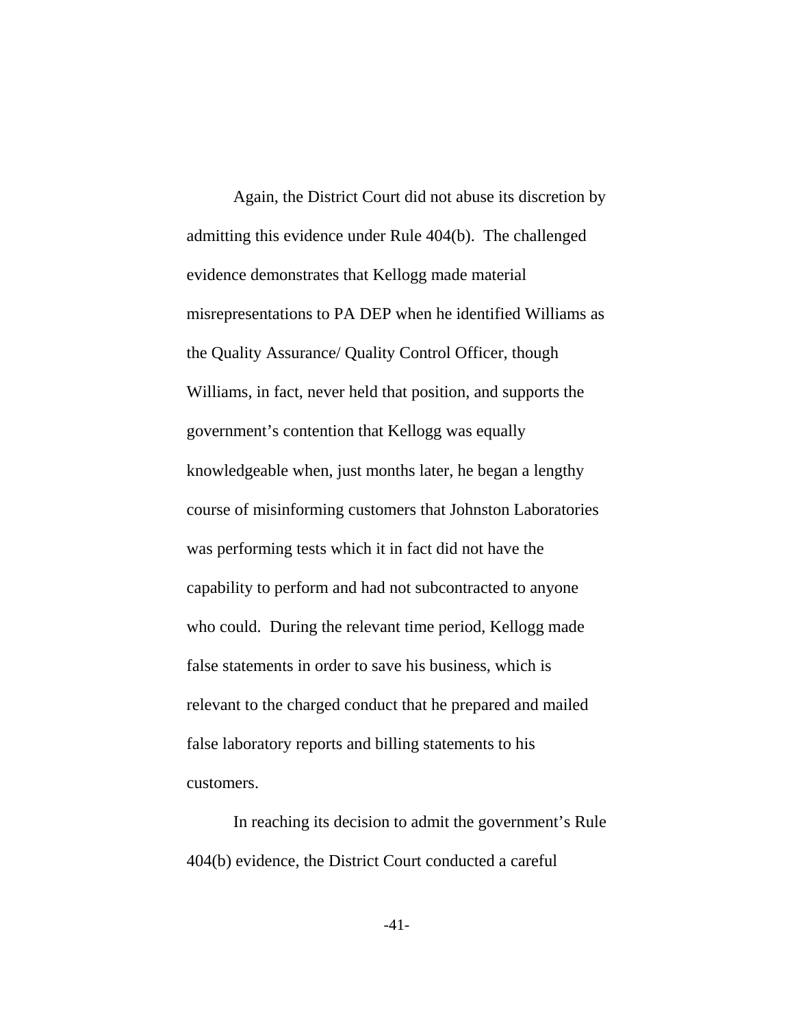Again, the District Court did not abuse its discretion by admitting this evidence under Rule 404(b). The challenged evidence demonstrates that Kellogg made material misrepresentations to PA DEP when he identified Williams as the Quality Assurance/ Quality Control Officer, though Williams, in fact, never held that position, and supports the government's contention that Kellogg was equally knowledgeable when, just months later, he began a lengthy course of misinforming customers that Johnston Laboratories was performing tests which it in fact did not have the capability to perform and had not subcontracted to anyone who could. During the relevant time period, Kellogg made false statements in order to save his business, which is relevant to the charged conduct that he prepared and mailed false laboratory reports and billing statements to his customers.

In reaching its decision to admit the government's Rule 404(b) evidence, the District Court conducted a careful

-41-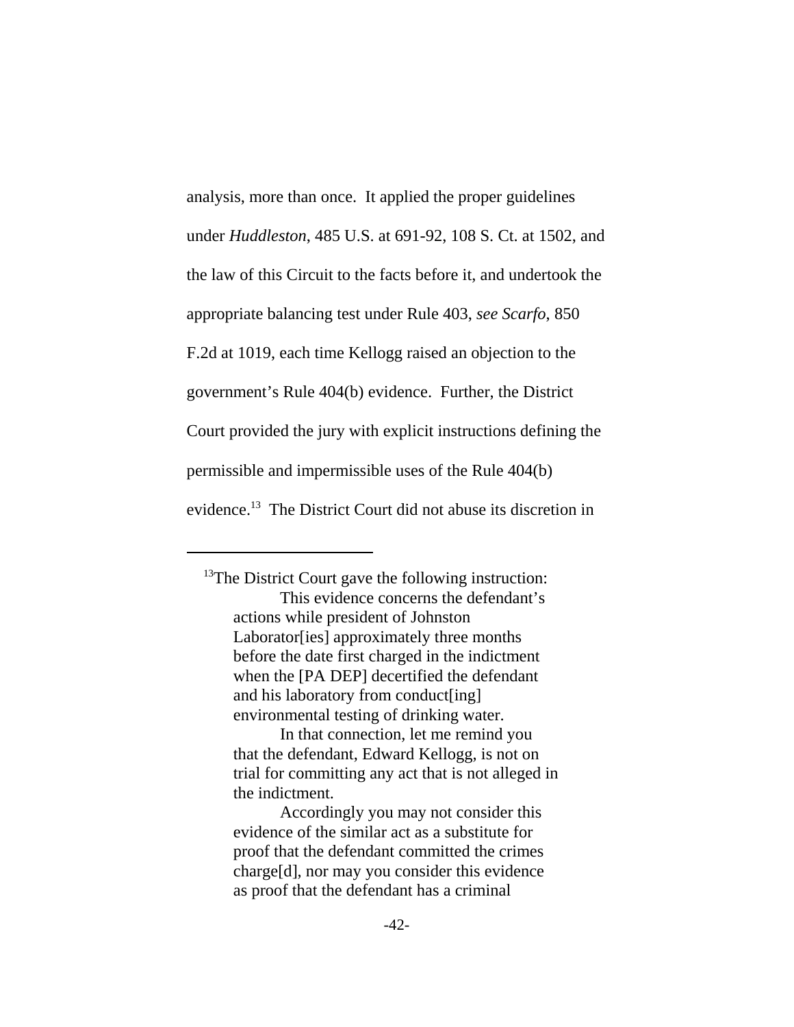analysis, more than once. It applied the proper guidelines under *Huddleston*, 485 U.S. at 691-92, 108 S. Ct. at 1502, and the law of this Circuit to the facts before it, and undertook the appropriate balancing test under Rule 403, *see Scarfo*, 850 F.2d at 1019, each time Kellogg raised an objection to the government's Rule 404(b) evidence. Further, the District Court provided the jury with explicit instructions defining the permissible and impermissible uses of the Rule 404(b) evidence.13 The District Court did not abuse its discretion in

 $13$ The District Court gave the following instruction: This evidence concerns the defendant's actions while president of Johnston Laborator[ies] approximately three months before the date first charged in the indictment when the [PA DEP] decertified the defendant and his laboratory from conduct[ing] environmental testing of drinking water.

In that connection, let me remind you that the defendant, Edward Kellogg, is not on trial for committing any act that is not alleged in the indictment.

Accordingly you may not consider this evidence of the similar act as a substitute for proof that the defendant committed the crimes charge[d], nor may you consider this evidence as proof that the defendant has a criminal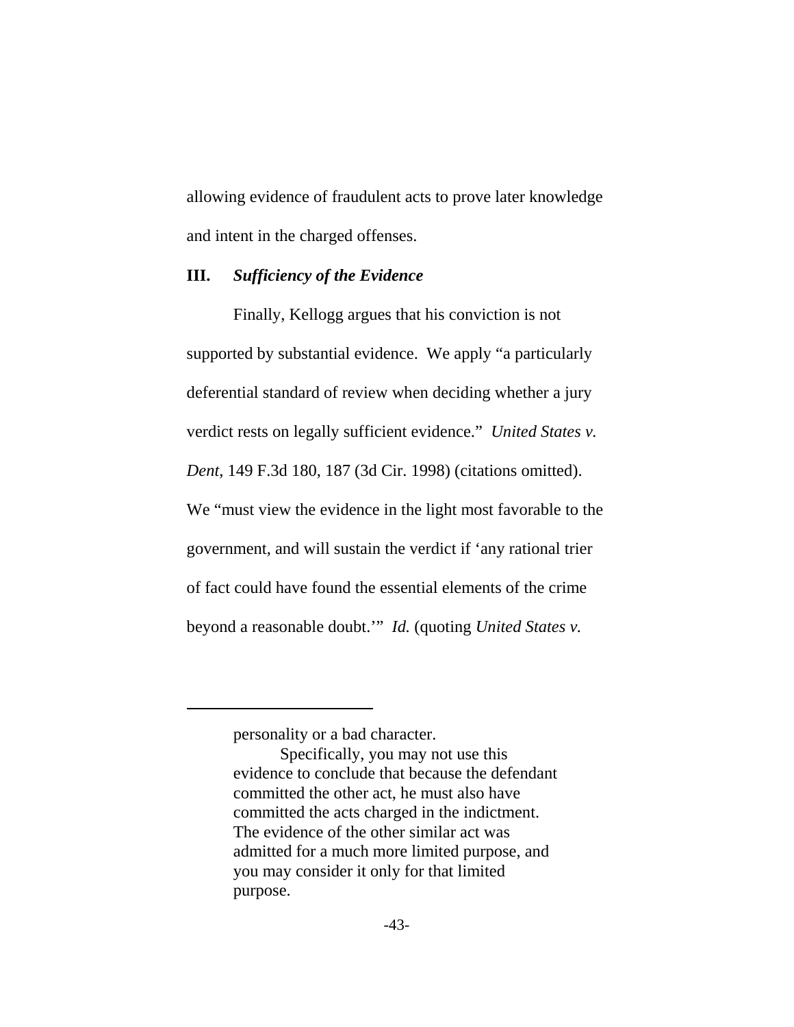allowing evidence of fraudulent acts to prove later knowledge and intent in the charged offenses.

#### **III.** *Sufficiency of the Evidence*

Finally, Kellogg argues that his conviction is not supported by substantial evidence. We apply "a particularly deferential standard of review when deciding whether a jury verdict rests on legally sufficient evidence." *United States v. Dent*, 149 F.3d 180, 187 (3d Cir. 1998) (citations omitted). We "must view the evidence in the light most favorable to the government, and will sustain the verdict if 'any rational trier of fact could have found the essential elements of the crime beyond a reasonable doubt.'" *Id.* (quoting *United States v.*

personality or a bad character.

Specifically, you may not use this evidence to conclude that because the defendant committed the other act, he must also have committed the acts charged in the indictment. The evidence of the other similar act was admitted for a much more limited purpose, and you may consider it only for that limited purpose.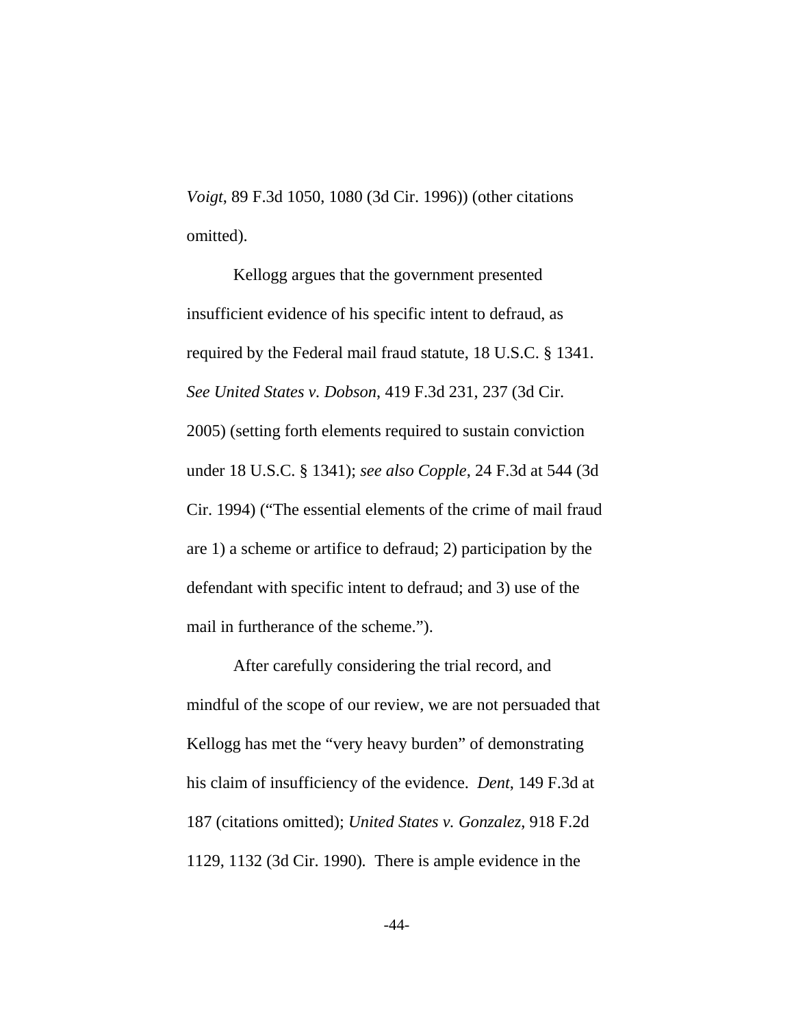*Voigt*, 89 F.3d 1050, 1080 (3d Cir. 1996)) (other citations omitted).

Kellogg argues that the government presented insufficient evidence of his specific intent to defraud, as required by the Federal mail fraud statute, 18 U.S.C. § 1341. *See United States v. Dobson*, 419 F.3d 231, 237 (3d Cir. 2005) (setting forth elements required to sustain conviction under 18 U.S.C. § 1341); *see also Copple*, 24 F.3d at 544 (3d Cir. 1994) ("The essential elements of the crime of mail fraud are 1) a scheme or artifice to defraud; 2) participation by the defendant with specific intent to defraud; and 3) use of the mail in furtherance of the scheme.").

After carefully considering the trial record, and mindful of the scope of our review, we are not persuaded that Kellogg has met the "very heavy burden" of demonstrating his claim of insufficiency of the evidence. *Dent*, 149 F.3d at 187 (citations omitted); *United States v. Gonzalez*, 918 F.2d 1129, 1132 (3d Cir. 1990)*.* There is ample evidence in the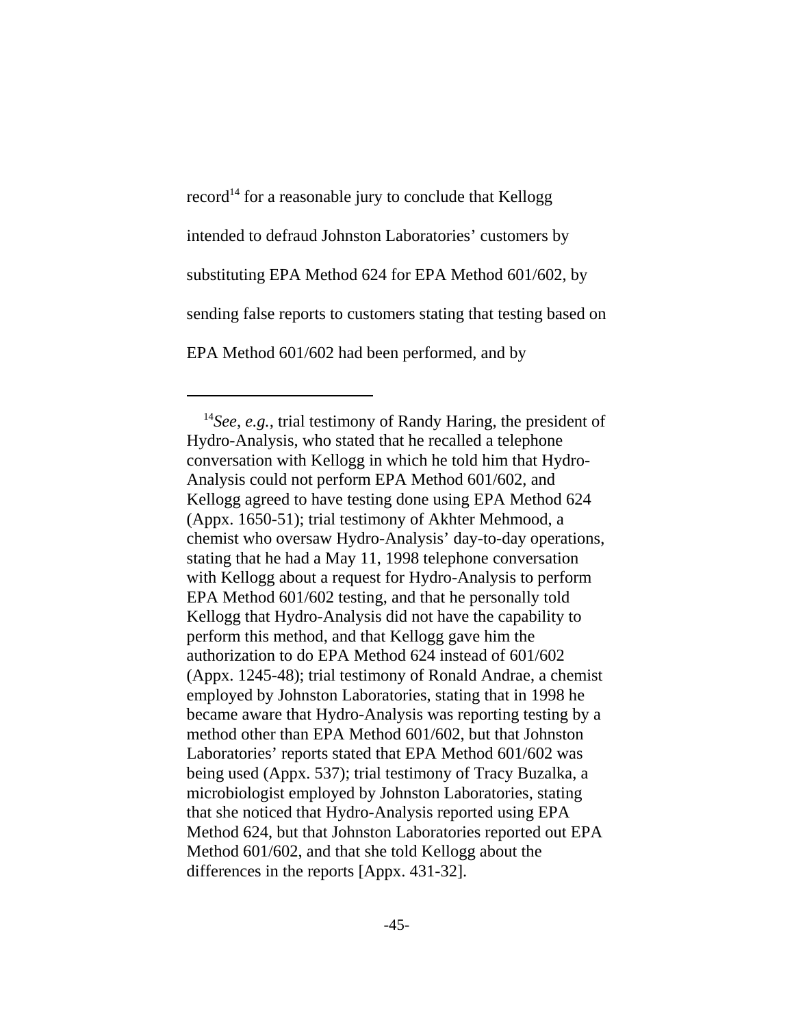$record<sup>14</sup>$  for a reasonable jury to conclude that Kellogg intended to defraud Johnston Laboratories' customers by substituting EPA Method 624 for EPA Method 601/602, by sending false reports to customers stating that testing based on EPA Method 601/602 had been performed, and by

 <sup>14</sup>*See, e.g.,* trial testimony of Randy Haring, the president of Hydro-Analysis, who stated that he recalled a telephone conversation with Kellogg in which he told him that Hydro-Analysis could not perform EPA Method 601/602, and Kellogg agreed to have testing done using EPA Method 624 (Appx. 1650-51); trial testimony of Akhter Mehmood, a chemist who oversaw Hydro-Analysis' day-to-day operations, stating that he had a May 11, 1998 telephone conversation with Kellogg about a request for Hydro-Analysis to perform EPA Method 601/602 testing, and that he personally told Kellogg that Hydro-Analysis did not have the capability to perform this method, and that Kellogg gave him the authorization to do EPA Method 624 instead of 601/602 (Appx. 1245-48); trial testimony of Ronald Andrae, a chemist employed by Johnston Laboratories, stating that in 1998 he became aware that Hydro-Analysis was reporting testing by a method other than EPA Method 601/602, but that Johnston Laboratories' reports stated that EPA Method 601/602 was being used (Appx. 537); trial testimony of Tracy Buzalka, a microbiologist employed by Johnston Laboratories, stating that she noticed that Hydro-Analysis reported using EPA Method 624, but that Johnston Laboratories reported out EPA Method 601/602, and that she told Kellogg about the differences in the reports [Appx. 431-32].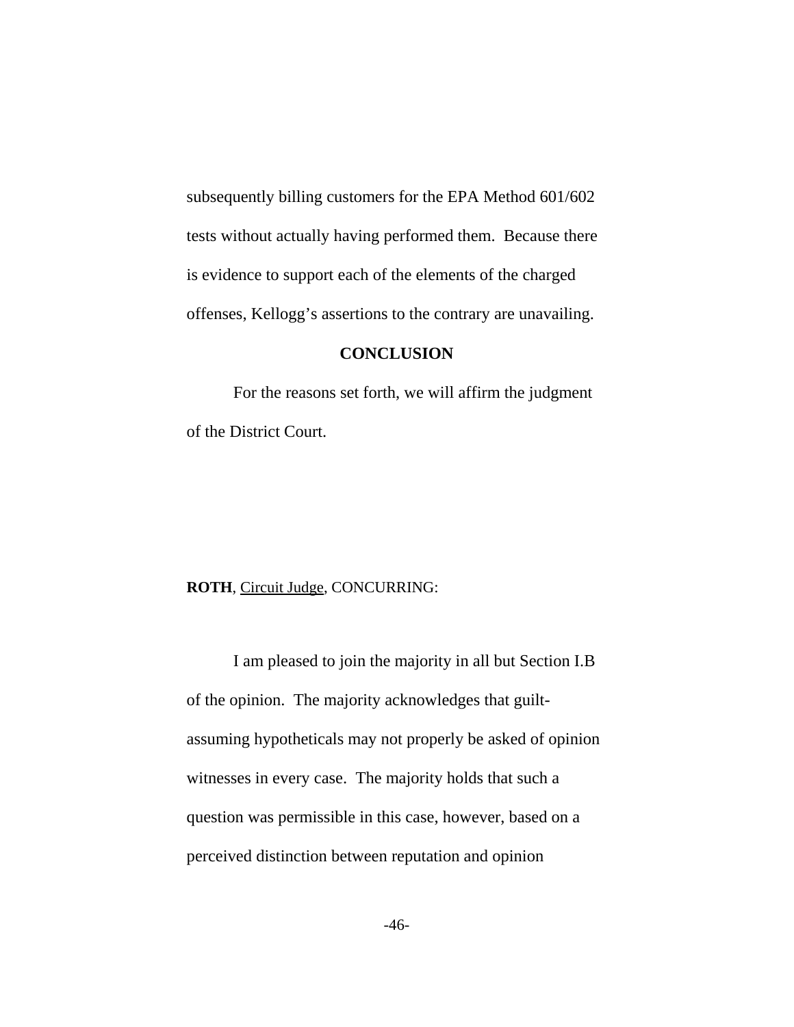subsequently billing customers for the EPA Method 601/602 tests without actually having performed them. Because there is evidence to support each of the elements of the charged offenses, Kellogg's assertions to the contrary are unavailing.

#### **CONCLUSION**

For the reasons set forth, we will affirm the judgment of the District Court.

#### **ROTH**, Circuit Judge, CONCURRING:

I am pleased to join the majority in all but Section I.B of the opinion. The majority acknowledges that guiltassuming hypotheticals may not properly be asked of opinion witnesses in every case. The majority holds that such a question was permissible in this case, however, based on a perceived distinction between reputation and opinion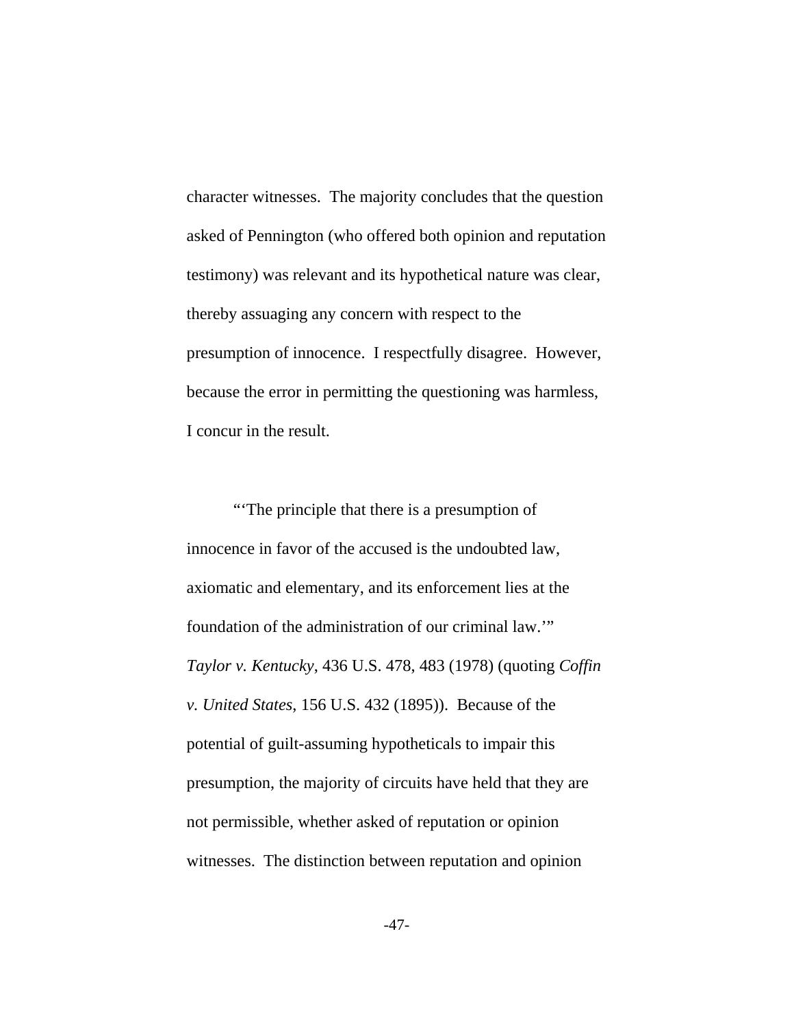character witnesses. The majority concludes that the question asked of Pennington (who offered both opinion and reputation testimony) was relevant and its hypothetical nature was clear, thereby assuaging any concern with respect to the presumption of innocence. I respectfully disagree. However, because the error in permitting the questioning was harmless, I concur in the result.

"'The principle that there is a presumption of innocence in favor of the accused is the undoubted law, axiomatic and elementary, and its enforcement lies at the foundation of the administration of our criminal law.'" *Taylor v. Kentucky*, 436 U.S. 478, 483 (1978) (quoting *Coffin v. United States*, 156 U.S. 432 (1895)). Because of the potential of guilt-assuming hypotheticals to impair this presumption, the majority of circuits have held that they are not permissible, whether asked of reputation or opinion witnesses. The distinction between reputation and opinion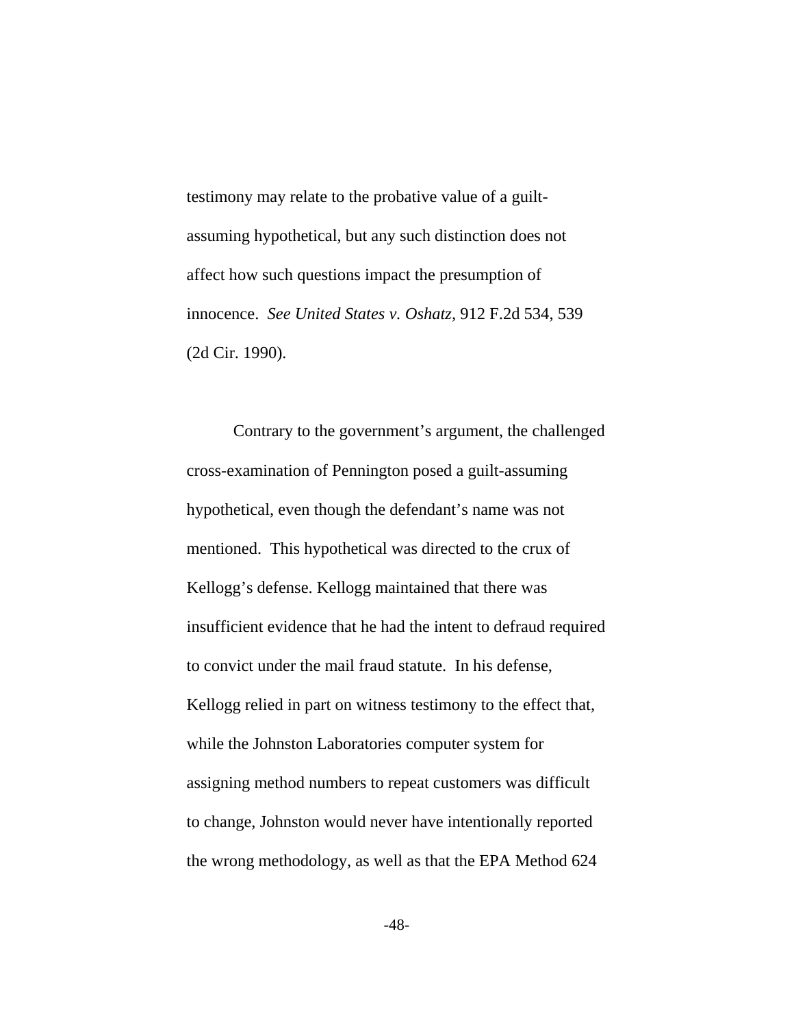testimony may relate to the probative value of a guiltassuming hypothetical, but any such distinction does not affect how such questions impact the presumption of innocence. *See United States v. Oshatz,* 912 F.2d 534, 539 (2d Cir. 1990).

Contrary to the government's argument, the challenged cross-examination of Pennington posed a guilt-assuming hypothetical, even though the defendant's name was not mentioned. This hypothetical was directed to the crux of Kellogg's defense. Kellogg maintained that there was insufficient evidence that he had the intent to defraud required to convict under the mail fraud statute. In his defense, Kellogg relied in part on witness testimony to the effect that, while the Johnston Laboratories computer system for assigning method numbers to repeat customers was difficult to change, Johnston would never have intentionally reported the wrong methodology, as well as that the EPA Method 624

-48-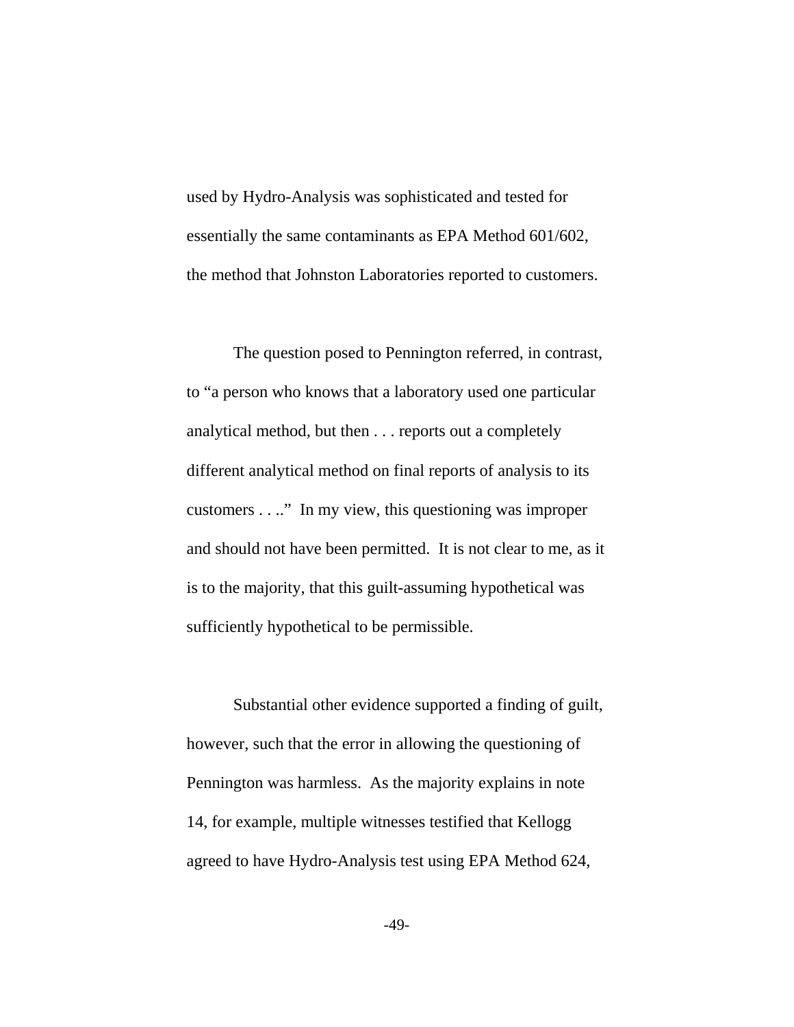used by Hydro-Analysis was sophisticated and tested for essentially the same contaminants as EPA Method 601/602, the method that Johnston Laboratories reported to customers.

The question posed to Pennington referred, in contrast, to "a person who knows that a laboratory used one particular analytical method, but then . . . reports out a completely different analytical method on final reports of analysis to its customers . . .." In my view, this questioning was improper and should not have been permitted. It is not clear to me, as it is to the majority, that this guilt-assuming hypothetical was sufficiently hypothetical to be permissible.

Substantial other evidence supported a finding of guilt, however, such that the error in allowing the questioning of Pennington was harmless. As the majority explains in note 14, for example, multiple witnesses testified that Kellogg agreed to have Hydro-Analysis test using EPA Method 624,

-49-